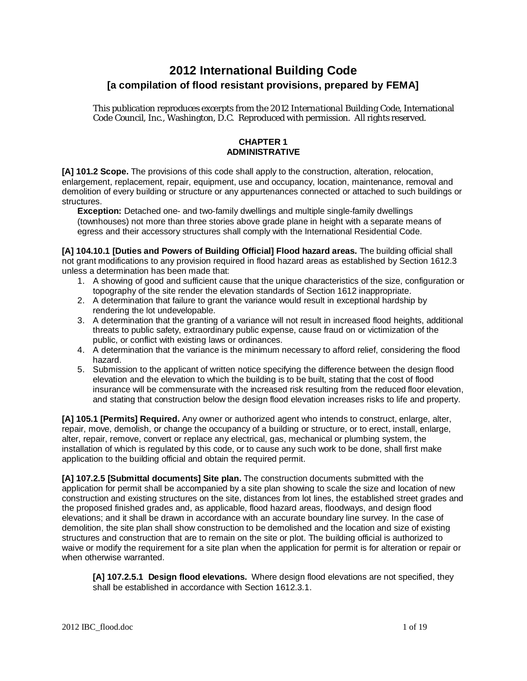# **2012 International Building Code [a compilation of flood resistant provisions, prepared by FEMA]**

This publication reproduces excerpts from the *2012 International Building Code*, International Code Council, Inc., Washington, D.C. Reproduced with permission. All rights reserved.

## **CHAPTER 1 ADMINISTRATIVE**

**[A] 101.2 Scope.** The provisions of this code shall apply to the construction, alteration, relocation, enlargement, replacement, repair, equipment, use and occupancy, location, maintenance, removal and demolition of every building or structure or any appurtenances connected or attached to such buildings or structures.

**Exception:** Detached one- and two-family dwellings and multiple single-family dwellings (townhouses) not more than three stories above grade plane in height with a separate means of egress and their accessory structures shall comply with the International Residential Code.

**[A] 104.10.1 [Duties and Powers of Building Official] Flood hazard areas.** The building official shall not grant modifications to any provision required in flood hazard areas as established by Section 1612.3 unless a determination has been made that:

- 1. A showing of good and sufficient cause that the unique characteristics of the size, configuration or topography of the site render the elevation standards of Section 1612 inappropriate.
- 2. A determination that failure to grant the variance would result in exceptional hardship by rendering the lot undevelopable.
- 3. A determination that the granting of a variance will not result in increased flood heights, additional threats to public safety, extraordinary public expense, cause fraud on or victimization of the public, or conflict with existing laws or ordinances.
- 4. A determination that the variance is the minimum necessary to afford relief, considering the flood hazard.
- 5. Submission to the applicant of written notice specifying the difference between the design flood elevation and the elevation to which the building is to be built, stating that the cost of flood insurance will be commensurate with the increased risk resulting from the reduced floor elevation, and stating that construction below the design flood elevation increases risks to life and property.

**[A] 105.1 [Permits] Required.** Any owner or authorized agent who intends to construct, enlarge, alter, repair, move, demolish, or change the occupancy of a building or structure, or to erect, install, enlarge, alter, repair, remove, convert or replace any electrical, gas, mechanical or plumbing system, the installation of which is regulated by this code, or to cause any such work to be done, shall first make application to the building official and obtain the required permit.

**[A] 107.2.5 [Submittal documents] Site plan.** The construction documents submitted with the application for permit shall be accompanied by a site plan showing to scale the size and location of new construction and existing structures on the site, distances from lot lines, the established street grades and the proposed finished grades and, as applicable, flood hazard areas, floodways, and design flood elevations; and it shall be drawn in accordance with an accurate boundary line survey. In the case of demolition, the site plan shall show construction to be demolished and the location and size of existing structures and construction that are to remain on the site or plot. The building official is authorized to waive or modify the requirement for a site plan when the application for permit is for alteration or repair or when otherwise warranted.

**[A] 107.2.5.1 Design flood elevations.** Where design flood elevations are not specified, they shall be established in accordance with Section 1612.3.1.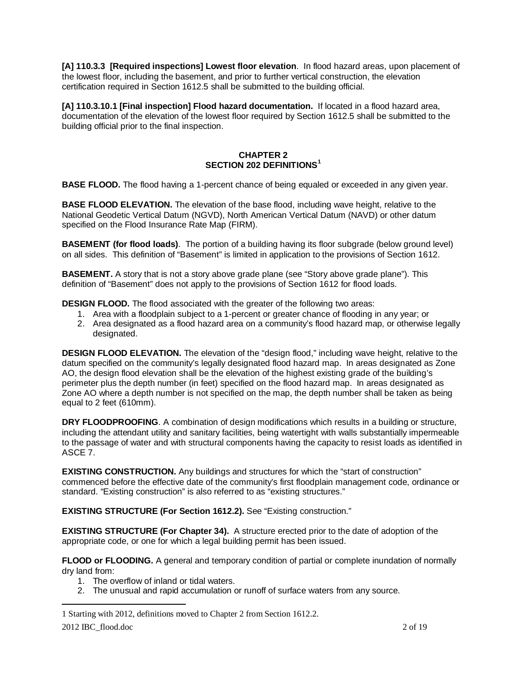**[A] 110.3.3 [Required inspections] Lowest floor elevation**. In flood hazard areas, upon placement of the lowest floor, including the basement, and prior to further vertical construction, the elevation certification required in Section 1612.5 shall be submitted to the building official.

**[A] 110.3.10.1 [Final inspection] Flood hazard documentation.** If located in a flood hazard area, documentation of the elevation of the lowest floor required by Section 1612.5 shall be submitted to the building official prior to the final inspection.

## **CHAPTER 2 SECTION 202 DEFINITIONS[1](#page-1-0)**

**BASE FLOOD.** The flood having a 1-percent chance of being equaled or exceeded in any given year.

**BASE FLOOD ELEVATION.** The elevation of the base flood, including wave height, relative to the National Geodetic Vertical Datum (NGVD), North American Vertical Datum (NAVD) or other datum specified on the Flood Insurance Rate Map (FIRM).

**BASEMENT (for flood loads)**. The portion of a building having its floor subgrade (below ground level) on all sides. This definition of "Basement" is limited in application to the provisions of Section 1612.

**BASEMENT.** A story that is not a story above grade plane (see "Story above grade plane"). This definition of "Basement" does not apply to the provisions of Section 1612 for flood loads.

**DESIGN FLOOD.** The flood associated with the greater of the following two areas:

- 1. Area with a floodplain subject to a 1-percent or greater chance of flooding in any year; or
- 2. Area designated as a flood hazard area on a community's flood hazard map, or otherwise legally designated.

**DESIGN FLOOD ELEVATION.** The elevation of the "design flood," including wave height, relative to the datum specified on the community's legally designated flood hazard map. In areas designated as Zone AO, the design flood elevation shall be the elevation of the highest existing grade of the building's perimeter plus the depth number (in feet) specified on the flood hazard map. In areas designated as Zone AO where a depth number is not specified on the map, the depth number shall be taken as being equal to 2 feet (610mm).

**DRY FLOODPROOFING**. A combination of design modifications which results in a building or structure, including the attendant utility and sanitary facilities, being watertight with walls substantially impermeable to the passage of water and with structural components having the capacity to resist loads as identified in ASCE 7.

**EXISTING CONSTRUCTION.** Any buildings and structures for which the "start of construction" commenced before the effective date of the community's first floodplain management code, ordinance or standard. "Existing construction" is also referred to as "existing structures."

**EXISTING STRUCTURE (For Section 1612.2).** See "Existing construction."

**EXISTING STRUCTURE (For Chapter 34).** A structure erected prior to the date of adoption of the appropriate code, or one for which a legal building permit has been issued.

**FLOOD or FLOODING.** A general and temporary condition of partial or complete inundation of normally dry land from:

- 1. The overflow of inland or tidal waters.
- 2. The unusual and rapid accumulation or runoff of surface waters from any source.

2012 IBC flood.doc 2 of 19

<span id="page-1-0"></span> <sup>1</sup> Starting with 2012, definitions moved to Chapter 2 from Section 1612.2.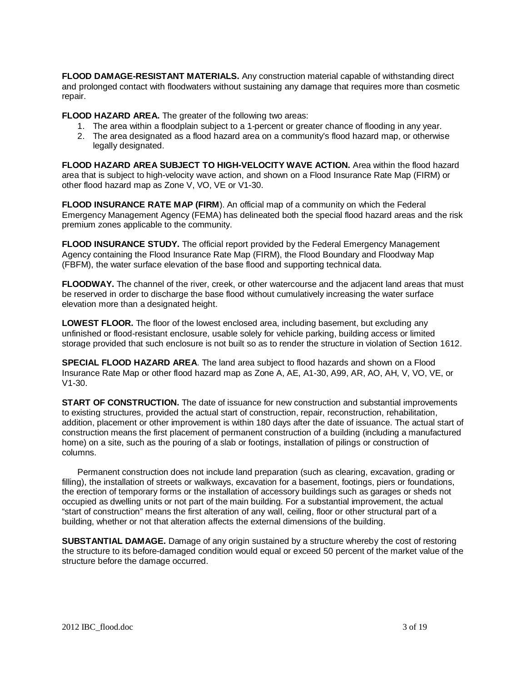**FLOOD DAMAGE-RESISTANT MATERIALS.** Any construction material capable of withstanding direct and prolonged contact with floodwaters without sustaining any damage that requires more than cosmetic repair.

**FLOOD HAZARD AREA.** The greater of the following two areas:

- 1. The area within a floodplain subject to a 1-percent or greater chance of flooding in any year.
- 2. The area designated as a flood hazard area on a community's flood hazard map, or otherwise legally designated.

**FLOOD HAZARD AREA SUBJECT TO HIGH-VELOCITY WAVE ACTION.** Area within the flood hazard area that is subject to high-velocity wave action, and shown on a Flood Insurance Rate Map (FIRM) or other flood hazard map as Zone V, VO, VE or V1-30.

**FLOOD INSURANCE RATE MAP (FIRM**). An official map of a community on which the Federal Emergency Management Agency (FEMA) has delineated both the special flood hazard areas and the risk premium zones applicable to the community.

**FLOOD INSURANCE STUDY.** The official report provided by the Federal Emergency Management Agency containing the Flood Insurance Rate Map (FIRM), the Flood Boundary and Floodway Map (FBFM), the water surface elevation of the base flood and supporting technical data.

**FLOODWAY.** The channel of the river, creek, or other watercourse and the adjacent land areas that must be reserved in order to discharge the base flood without cumulatively increasing the water surface elevation more than a designated height.

**LOWEST FLOOR.** The floor of the lowest enclosed area, including basement, but excluding any unfinished or flood-resistant enclosure, usable solely for vehicle parking, building access or limited storage provided that such enclosure is not built so as to render the structure in violation of Section 1612.

**SPECIAL FLOOD HAZARD AREA**. The land area subject to flood hazards and shown on a Flood Insurance Rate Map or other flood hazard map as Zone A, AE, A1-30, A99, AR, AO, AH, V, VO, VE, or V1-30.

**START OF CONSTRUCTION.** The date of issuance for new construction and substantial improvements to existing structures, provided the actual start of construction, repair, reconstruction, rehabilitation, addition, placement or other improvement is within 180 days after the date of issuance. The actual start of construction means the first placement of permanent construction of a building (including a manufactured home) on a site, such as the pouring of a slab or footings, installation of pilings or construction of columns.

Permanent construction does not include land preparation (such as clearing, excavation, grading or filling), the installation of streets or walkways, excavation for a basement, footings, piers or foundations, the erection of temporary forms or the installation of accessory buildings such as garages or sheds not occupied as dwelling units or not part of the main building. For a substantial improvement, the actual "start of construction" means the first alteration of any wall, ceiling, floor or other structural part of a building, whether or not that alteration affects the external dimensions of the building.

**SUBSTANTIAL DAMAGE.** Damage of any origin sustained by a structure whereby the cost of restoring the structure to its before-damaged condition would equal or exceed 50 percent of the market value of the structure before the damage occurred.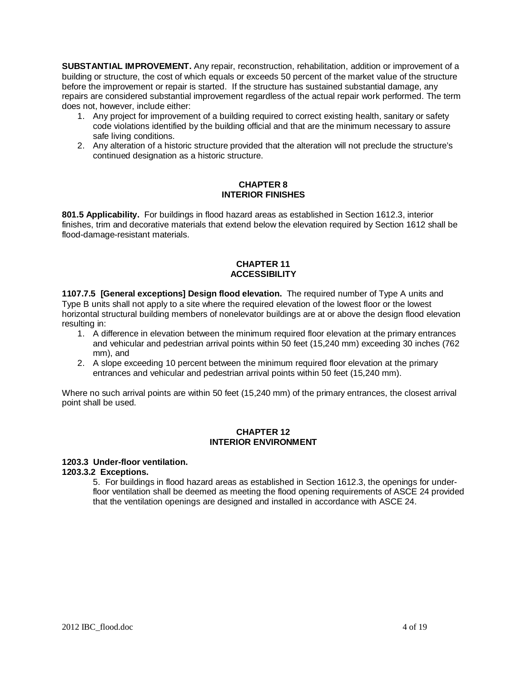**SUBSTANTIAL IMPROVEMENT.** Any repair, reconstruction, rehabilitation, addition or improvement of a building or structure, the cost of which equals or exceeds 50 percent of the market value of the structure before the improvement or repair is started. If the structure has sustained substantial damage, any repairs are considered substantial improvement regardless of the actual repair work performed. The term does not, however, include either:

- 1. Any project for improvement of a building required to correct existing health, sanitary or safety code violations identified by the building official and that are the minimum necessary to assure safe living conditions.
- 2. Any alteration of a historic structure provided that the alteration will not preclude the structure's continued designation as a historic structure.

#### **CHAPTER 8 INTERIOR FINISHES**

**801.5 Applicability.** For buildings in flood hazard areas as established in Section 1612.3, interior finishes, trim and decorative materials that extend below the elevation required by Section 1612 shall be flood-damage-resistant materials.

## **CHAPTER 11 ACCESSIBILITY**

**1107.7.5 [General exceptions] Design flood elevation.** The required number of Type A units and Type B units shall not apply to a site where the required elevation of the lowest floor or the lowest horizontal structural building members of nonelevator buildings are at or above the design flood elevation resulting in:

- 1. A difference in elevation between the minimum required floor elevation at the primary entrances and vehicular and pedestrian arrival points within 50 feet (15,240 mm) exceeding 30 inches (762 mm), and
- 2. A slope exceeding 10 percent between the minimum required floor elevation at the primary entrances and vehicular and pedestrian arrival points within 50 feet (15,240 mm).

Where no such arrival points are within 50 feet (15,240 mm) of the primary entrances, the closest arrival point shall be used.

#### **CHAPTER 12 INTERIOR ENVIRONMENT**

## **1203.3 Under-floor ventilation.**

#### **1203.3.2 Exceptions.**

5. For buildings in flood hazard areas as established in Section 1612.3, the openings for underfloor ventilation shall be deemed as meeting the flood opening requirements of ASCE 24 provided that the ventilation openings are designed and installed in accordance with ASCE 24.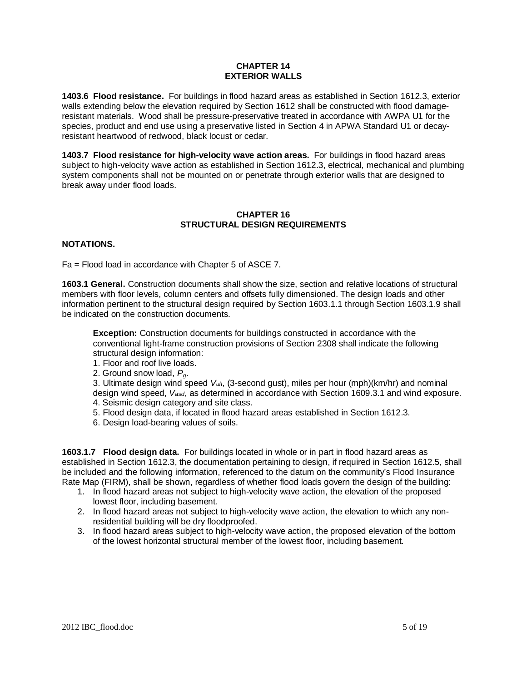#### **CHAPTER 14 EXTERIOR WALLS**

**1403.6 Flood resistance.** For buildings in flood hazard areas as established in Section 1612.3, exterior walls extending below the elevation required by Section 1612 shall be constructed with flood damageresistant materials. Wood shall be pressure-preservative treated in accordance with AWPA U1 for the species, product and end use using a preservative listed in Section 4 in APWA Standard U1 or decayresistant heartwood of redwood, black locust or cedar.

**1403.7 Flood resistance for high-velocity wave action areas.** For buildings in flood hazard areas subject to high-velocity wave action as established in Section 1612.3, electrical, mechanical and plumbing system components shall not be mounted on or penetrate through exterior walls that are designed to break away under flood loads.

## **CHAPTER 16 STRUCTURAL DESIGN REQUIREMENTS**

## **NOTATIONS.**

Fa = Flood load in accordance with Chapter 5 of ASCE 7.

**1603.1 General.** Construction documents shall show the size, section and relative locations of structural members with floor levels, column centers and offsets fully dimensioned. The design loads and other information pertinent to the structural design required by Section 1603.1.1 through Section 1603.1.9 shall be indicated on the construction documents.

**Exception:** Construction documents for buildings constructed in accordance with the conventional light-frame construction provisions of Section 2308 shall indicate the following structural design information:

- 1. Floor and roof live loads.
- 2. Ground snow load, *Pg*.

3. Ultimate design wind speed *Vult*, (3-second gust), miles per hour (mph)(km/hr) and nominal design wind speed, *Vasd*, as determined in accordance with Section 1609.3.1 and wind exposure.

- 4. Seismic design category and site class.
- 5. Flood design data, if located in flood hazard areas established in Section 1612.3.
- 6. Design load-bearing values of soils.

**1603.1.7 Flood design data.** For buildings located in whole or in part in flood hazard areas as established in Section 1612.3, the documentation pertaining to design, if required in Section 1612.5, shall be included and the following information, referenced to the datum on the community's Flood Insurance Rate Map (FIRM), shall be shown, regardless of whether flood loads govern the design of the building:

- 1. In flood hazard areas not subject to high-velocity wave action, the elevation of the proposed lowest floor, including basement.
- 2. In flood hazard areas not subject to high-velocity wave action, the elevation to which any nonresidential building will be dry floodproofed.
- 3. In flood hazard areas subject to high-velocity wave action, the proposed elevation of the bottom of the lowest horizontal structural member of the lowest floor, including basement.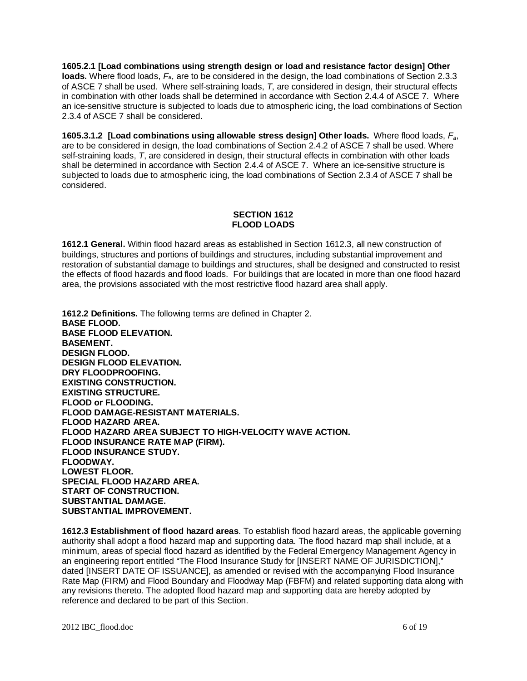**1605.2.1 [Load combinations using strength design or load and resistance factor design] Other loads.** Where flood loads, *Fa*, are to be considered in the design, the load combinations of Section 2.3.3 of ASCE 7 shall be used. Where self-straining loads, *T*, are considered in design, their structural effects in combination with other loads shall be determined in accordance with Section 2.4.4 of ASCE 7. Where an ice-sensitive structure is subjected to loads due to atmospheric icing, the load combinations of Section 2.3.4 of ASCE 7 shall be considered.

**1605.3.1.2 [Load combinations using allowable stress design] Other loads.** Where flood loads, *Fa*, are to be considered in design, the load combinations of Section 2.4.2 of ASCE 7 shall be used. Where self-straining loads, *T*, are considered in design, their structural effects in combination with other loads shall be determined in accordance with Section 2.4.4 of ASCE 7. Where an ice-sensitive structure is subjected to loads due to atmospheric icing, the load combinations of Section 2.3.4 of ASCE 7 shall be considered.

## **SECTION 1612 FLOOD LOADS**

**1612.1 General.** Within flood hazard areas as established in Section 1612.3, all new construction of buildings, structures and portions of buildings and structures, including substantial improvement and restoration of substantial damage to buildings and structures, shall be designed and constructed to resist the effects of flood hazards and flood loads. For buildings that are located in more than one flood hazard area, the provisions associated with the most restrictive flood hazard area shall apply.

**1612.2 Definitions.** The following terms are defined in Chapter 2. **BASE FLOOD. BASE FLOOD ELEVATION. BASEMENT. DESIGN FLOOD. DESIGN FLOOD ELEVATION. DRY FLOODPROOFING. EXISTING CONSTRUCTION. EXISTING STRUCTURE. FLOOD or FLOODING. FLOOD DAMAGE-RESISTANT MATERIALS. FLOOD HAZARD AREA. FLOOD HAZARD AREA SUBJECT TO HIGH-VELOCITY WAVE ACTION. FLOOD INSURANCE RATE MAP (FIRM). FLOOD INSURANCE STUDY. FLOODWAY. LOWEST FLOOR. SPECIAL FLOOD HAZARD AREA. START OF CONSTRUCTION. SUBSTANTIAL DAMAGE. SUBSTANTIAL IMPROVEMENT.**

**1612.3 Establishment of flood hazard areas**. To establish flood hazard areas, the applicable governing authority shall adopt a flood hazard map and supporting data. The flood hazard map shall include, at a minimum, areas of special flood hazard as identified by the Federal Emergency Management Agency in an engineering report entitled "The Flood Insurance Study for [INSERT NAME OF JURISDICTION]," dated [INSERT DATE OF ISSUANCE], as amended or revised with the accompanying Flood Insurance Rate Map (FIRM) and Flood Boundary and Floodway Map (FBFM) and related supporting data along with any revisions thereto. The adopted flood hazard map and supporting data are hereby adopted by reference and declared to be part of this Section.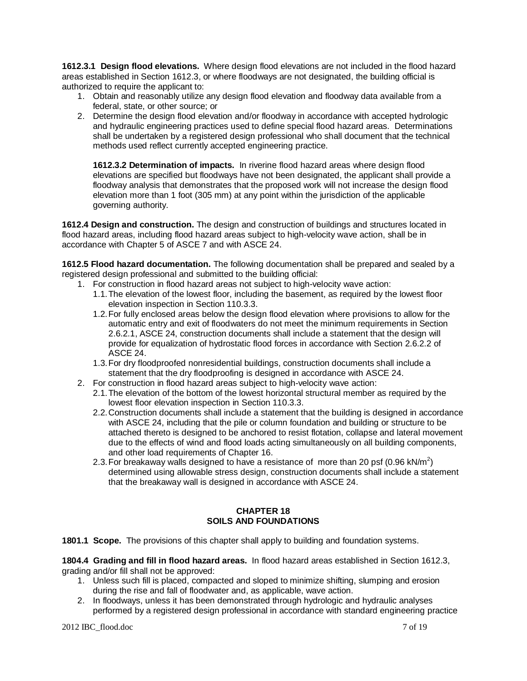**1612.3.1 Design flood elevations.** Where design flood elevations are not included in the flood hazard areas established in Section 1612.3, or where floodways are not designated, the building official is authorized to require the applicant to:

- 1. Obtain and reasonably utilize any design flood elevation and floodway data available from a federal, state, or other source; or
- 2. Determine the design flood elevation and/or floodway in accordance with accepted hydrologic and hydraulic engineering practices used to define special flood hazard areas. Determinations shall be undertaken by a registered design professional who shall document that the technical methods used reflect currently accepted engineering practice.

**1612.3.2 Determination of impacts.** In riverine flood hazard areas where design flood elevations are specified but floodways have not been designated, the applicant shall provide a floodway analysis that demonstrates that the proposed work will not increase the design flood elevation more than 1 foot (305 mm) at any point within the jurisdiction of the applicable governing authority.

**1612.4 Design and construction.** The design and construction of buildings and structures located in flood hazard areas, including flood hazard areas subject to high-velocity wave action, shall be in accordance with Chapter 5 of ASCE 7 and with ASCE 24.

**1612.5 Flood hazard documentation.** The following documentation shall be prepared and sealed by a registered design professional and submitted to the building official:

- 1. For construction in flood hazard areas not subject to high-velocity wave action:
	- 1.1.The elevation of the lowest floor, including the basement, as required by the lowest floor elevation inspection in Section 110.3.3.
	- 1.2.For fully enclosed areas below the design flood elevation where provisions to allow for the automatic entry and exit of floodwaters do not meet the minimum requirements in Section 2.6.2.1, ASCE 24, construction documents shall include a statement that the design will provide for equalization of hydrostatic flood forces in accordance with Section 2.6.2.2 of ASCE 24.
	- 1.3.For dry floodproofed nonresidential buildings, construction documents shall include a statement that the dry floodproofing is designed in accordance with ASCE 24.
- 2. For construction in flood hazard areas subject to high-velocity wave action:
	- 2.1.The elevation of the bottom of the lowest horizontal structural member as required by the lowest floor elevation inspection in Section 110.3.3.
	- 2.2.Construction documents shall include a statement that the building is designed in accordance with ASCE 24, including that the pile or column foundation and building or structure to be attached thereto is designed to be anchored to resist flotation, collapse and lateral movement due to the effects of wind and flood loads acting simultaneously on all building components, and other load requirements of Chapter 16.
	- 2.3. For breakaway walls designed to have a resistance of more than 20 psf (0.96 kN/m<sup>2</sup>) determined using allowable stress design, construction documents shall include a statement that the breakaway wall is designed in accordance with ASCE 24.

## **CHAPTER 18 SOILS AND FOUNDATIONS**

**1801.1 Scope.** The provisions of this chapter shall apply to building and foundation systems.

**1804.4 Grading and fill in flood hazard areas.** In flood hazard areas established in Section 1612.3, grading and/or fill shall not be approved:

- 1. Unless such fill is placed, compacted and sloped to minimize shifting, slumping and erosion during the rise and fall of floodwater and, as applicable, wave action.
- 2. In floodways, unless it has been demonstrated through hydrologic and hydraulic analyses performed by a registered design professional in accordance with standard engineering practice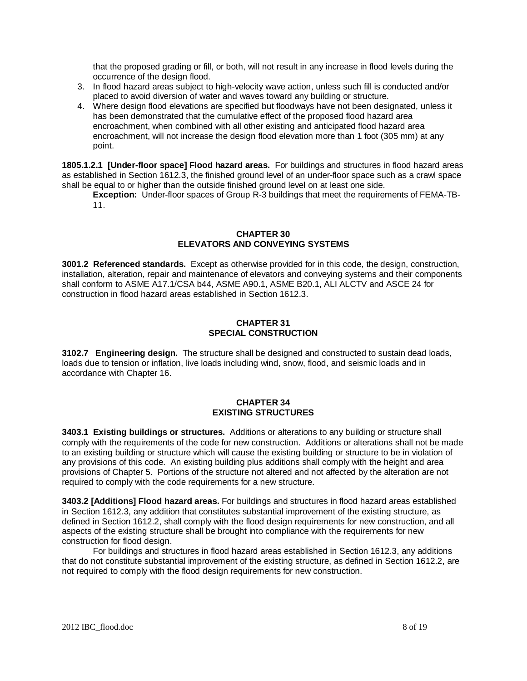that the proposed grading or fill, or both, will not result in any increase in flood levels during the occurrence of the design flood.

- 3. In flood hazard areas subject to high-velocity wave action, unless such fill is conducted and/or placed to avoid diversion of water and waves toward any building or structure.
- 4. Where design flood elevations are specified but floodways have not been designated, unless it has been demonstrated that the cumulative effect of the proposed flood hazard area encroachment, when combined with all other existing and anticipated flood hazard area encroachment, will not increase the design flood elevation more than 1 foot (305 mm) at any point.

**1805.1.2.1 [Under-floor space] Flood hazard areas.** For buildings and structures in flood hazard areas as established in Section 1612.3, the finished ground level of an under-floor space such as a crawl space shall be equal to or higher than the outside finished ground level on at least one side.

**Exception:** Under-floor spaces of Group R-3 buildings that meet the requirements of FEMA-TB-11.

#### **CHAPTER 30 ELEVATORS AND CONVEYING SYSTEMS**

**3001.2 Referenced standards.** Except as otherwise provided for in this code, the design, construction, installation, alteration, repair and maintenance of elevators and conveying systems and their components shall conform to ASME A17.1/CSA b44, ASME A90.1, ASME B20.1, ALI ALCTV and ASCE 24 for construction in flood hazard areas established in Section 1612.3.

#### **CHAPTER 31 SPECIAL CONSTRUCTION**

**3102.7 Engineering design.** The structure shall be designed and constructed to sustain dead loads, loads due to tension or inflation, live loads including wind, snow, flood, and seismic loads and in accordance with Chapter 16.

## **CHAPTER 34 EXISTING STRUCTURES**

**3403.1 Existing buildings or structures.** Additions or alterations to any building or structure shall comply with the requirements of the code for new construction. Additions or alterations shall not be made to an existing building or structure which will cause the existing building or structure to be in violation of any provisions of this code. An existing building plus additions shall comply with the height and area provisions of Chapter 5. Portions of the structure not altered and not affected by the alteration are not required to comply with the code requirements for a new structure.

**3403.2 [Additions] Flood hazard areas.** For buildings and structures in flood hazard areas established in Section 1612.3, any addition that constitutes substantial improvement of the existing structure, as defined in Section 1612.2, shall comply with the flood design requirements for new construction, and all aspects of the existing structure shall be brought into compliance with the requirements for new construction for flood design.

For buildings and structures in flood hazard areas established in Section 1612.3, any additions that do not constitute substantial improvement of the existing structure, as defined in Section 1612.2, are not required to comply with the flood design requirements for new construction.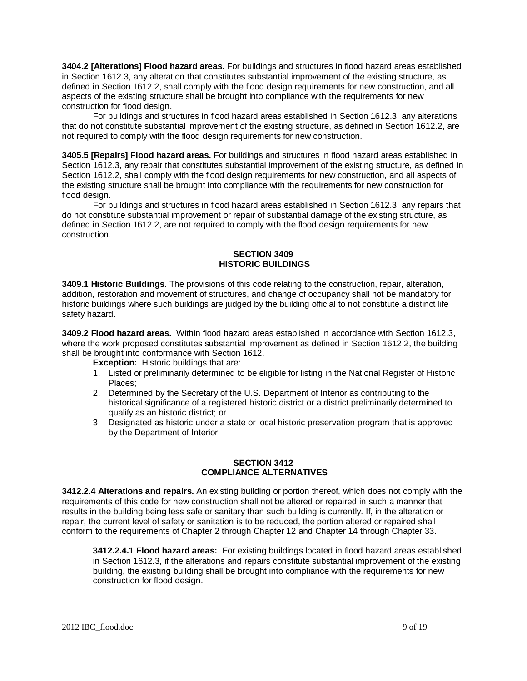**3404.2 [Alterations] Flood hazard areas.** For buildings and structures in flood hazard areas established in Section 1612.3, any alteration that constitutes substantial improvement of the existing structure, as defined in Section 1612.2, shall comply with the flood design requirements for new construction, and all aspects of the existing structure shall be brought into compliance with the requirements for new construction for flood design.

For buildings and structures in flood hazard areas established in Section 1612.3, any alterations that do not constitute substantial improvement of the existing structure, as defined in Section 1612.2, are not required to comply with the flood design requirements for new construction.

**3405.5 [Repairs] Flood hazard areas.** For buildings and structures in flood hazard areas established in Section 1612.3, any repair that constitutes substantial improvement of the existing structure, as defined in Section 1612.2, shall comply with the flood design requirements for new construction, and all aspects of the existing structure shall be brought into compliance with the requirements for new construction for flood design.

For buildings and structures in flood hazard areas established in Section 1612.3, any repairs that do not constitute substantial improvement or repair of substantial damage of the existing structure, as defined in Section 1612.2, are not required to comply with the flood design requirements for new construction.

#### **SECTION 3409 HISTORIC BUILDINGS**

**3409.1 Historic Buildings.** The provisions of this code relating to the construction, repair, alteration, addition, restoration and movement of structures, and change of occupancy shall not be mandatory for historic buildings where such buildings are judged by the building official to not constitute a distinct life safety hazard.

**3409.2 Flood hazard areas.** Within flood hazard areas established in accordance with Section 1612.3, where the work proposed constitutes substantial improvement as defined in Section 1612.2, the building shall be brought into conformance with Section 1612.

**Exception:** Historic buildings that are:

- 1. Listed or preliminarily determined to be eligible for listing in the National Register of Historic Places;
- 2. Determined by the Secretary of the U.S. Department of Interior as contributing to the historical significance of a registered historic district or a district preliminarily determined to qualify as an historic district; or
- 3. Designated as historic under a state or local historic preservation program that is approved by the Department of Interior.

#### **SECTION 3412 COMPLIANCE ALTERNATIVES**

**3412.2.4 Alterations and repairs.** An existing building or portion thereof, which does not comply with the requirements of this code for new construction shall not be altered or repaired in such a manner that results in the building being less safe or sanitary than such building is currently. If, in the alteration or repair, the current level of safety or sanitation is to be reduced, the portion altered or repaired shall conform to the requirements of Chapter 2 through Chapter 12 and Chapter 14 through Chapter 33.

**3412.2.4.1 Flood hazard areas:** For existing buildings located in flood hazard areas established in Section 1612.3, if the alterations and repairs constitute substantial improvement of the existing building, the existing building shall be brought into compliance with the requirements for new construction for flood design.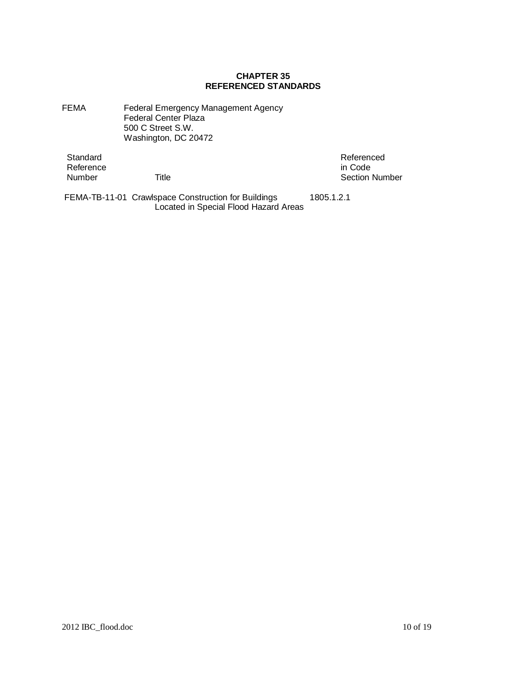## **CHAPTER 35 REFERENCED STANDARDS**

FEMA Federal Emergency Management Agency Federal Center Plaza 500 C Street S.W. Washington, DC 20472

Standard Referenced Referenced Referenced Referenced Referenced Referenced Referenced Referenced Referenced Referenced Referenced Referenced Referenced Referenced Referenced Referenced Referenced Referenced Referenced Refe Reference<br>Number Title

Section Number

FEMA-TB-11-01 Crawlspace Construction for Buildings 1805.1.2.1 Located in Special Flood Hazard Areas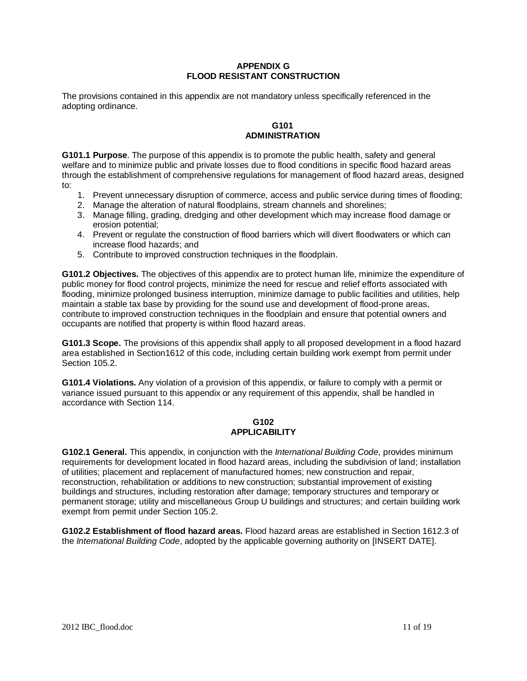#### **APPENDIX G FLOOD RESISTANT CONSTRUCTION**

The provisions contained in this appendix are not mandatory unless specifically referenced in the adopting ordinance.

## **G101 ADMINISTRATION**

**G101.1 Purpose**. The purpose of this appendix is to promote the public health, safety and general welfare and to minimize public and private losses due to flood conditions in specific flood hazard areas through the establishment of comprehensive regulations for management of flood hazard areas, designed to:

- 1. Prevent unnecessary disruption of commerce, access and public service during times of flooding;
- 2. Manage the alteration of natural floodplains, stream channels and shorelines;
- 3. Manage filling, grading, dredging and other development which may increase flood damage or erosion potential;
- 4. Prevent or regulate the construction of flood barriers which will divert floodwaters or which can increase flood hazards; and
- 5. Contribute to improved construction techniques in the floodplain.

**G101.2 Objectives.** The objectives of this appendix are to protect human life, minimize the expenditure of public money for flood control projects, minimize the need for rescue and relief efforts associated with flooding, minimize prolonged business interruption, minimize damage to public facilities and utilities, help maintain a stable tax base by providing for the sound use and development of flood-prone areas, contribute to improved construction techniques in the floodplain and ensure that potential owners and occupants are notified that property is within flood hazard areas.

**G101.3 Scope.** The provisions of this appendix shall apply to all proposed development in a flood hazard area established in Section1612 of this code, including certain building work exempt from permit under Section 105.2.

**G101.4 Violations.** Any violation of a provision of this appendix, or failure to comply with a permit or variance issued pursuant to this appendix or any requirement of this appendix, shall be handled in accordance with Section 114.

#### **G102 APPLICABILITY**

**G102.1 General.** This appendix, in conjunction with the *International Building Code*, provides minimum requirements for development located in flood hazard areas, including the subdivision of land; installation of utilities; placement and replacement of manufactured homes; new construction and repair, reconstruction, rehabilitation or additions to new construction; substantial improvement of existing buildings and structures, including restoration after damage; temporary structures and temporary or permanent storage; utility and miscellaneous Group U buildings and structures; and certain building work exempt from permit under Section 105.2.

**G102.2 Establishment of flood hazard areas.** Flood hazard areas are established in Section 1612.3 of the *International Building Code*, adopted by the applicable governing authority on [INSERT DATE].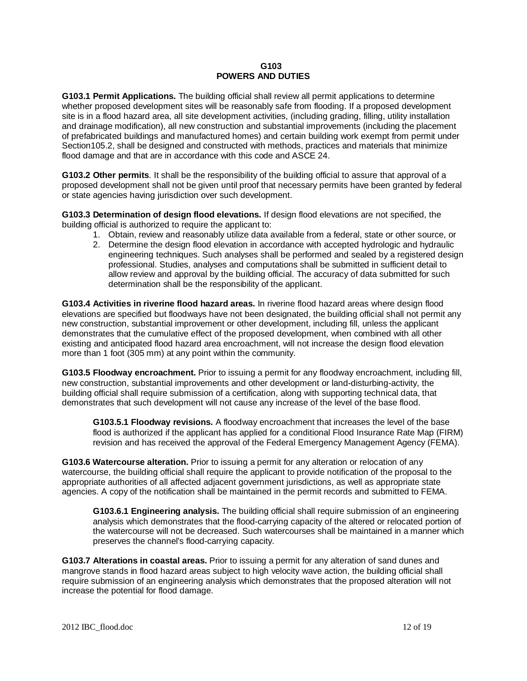#### **G103 POWERS AND DUTIES**

**G103.1 Permit Applications.** The building official shall review all permit applications to determine whether proposed development sites will be reasonably safe from flooding. If a proposed development site is in a flood hazard area, all site development activities, (including grading, filling, utility installation and drainage modification), all new construction and substantial improvements (including the placement of prefabricated buildings and manufactured homes) and certain building work exempt from permit under Section105.2, shall be designed and constructed with methods, practices and materials that minimize flood damage and that are in accordance with this code and ASCE 24.

**G103.2 Other permits**. It shall be the responsibility of the building official to assure that approval of a proposed development shall not be given until proof that necessary permits have been granted by federal or state agencies having jurisdiction over such development.

**G103.3 Determination of design flood elevations.** If design flood elevations are not specified, the building official is authorized to require the applicant to:

- 1. Obtain, review and reasonably utilize data available from a federal, state or other source, or
- 2. Determine the design flood elevation in accordance with accepted hydrologic and hydraulic engineering techniques. Such analyses shall be performed and sealed by a registered design professional. Studies, analyses and computations shall be submitted in sufficient detail to allow review and approval by the building official. The accuracy of data submitted for such determination shall be the responsibility of the applicant.

**G103.4 Activities in riverine flood hazard areas.** In riverine flood hazard areas where design flood elevations are specified but floodways have not been designated, the building official shall not permit any new construction, substantial improvement or other development, including fill, unless the applicant demonstrates that the cumulative effect of the proposed development, when combined with all other existing and anticipated flood hazard area encroachment, will not increase the design flood elevation more than 1 foot (305 mm) at any point within the community.

**G103.5 Floodway encroachment.** Prior to issuing a permit for any floodway encroachment, including fill, new construction, substantial improvements and other development or land-disturbing-activity, the building official shall require submission of a certification, along with supporting technical data, that demonstrates that such development will not cause any increase of the level of the base flood.

**G103.5.1 Floodway revisions.** A floodway encroachment that increases the level of the base flood is authorized if the applicant has applied for a conditional Flood Insurance Rate Map (FIRM) revision and has received the approval of the Federal Emergency Management Agency (FEMA).

**G103.6 Watercourse alteration.** Prior to issuing a permit for any alteration or relocation of any watercourse, the building official shall require the applicant to provide notification of the proposal to the appropriate authorities of all affected adjacent government jurisdictions, as well as appropriate state agencies. A copy of the notification shall be maintained in the permit records and submitted to FEMA.

**G103.6.1 Engineering analysis.** The building official shall require submission of an engineering analysis which demonstrates that the flood-carrying capacity of the altered or relocated portion of the watercourse will not be decreased. Such watercourses shall be maintained in a manner which preserves the channel's flood-carrying capacity.

**G103.7 Alterations in coastal areas.** Prior to issuing a permit for any alteration of sand dunes and mangrove stands in flood hazard areas subject to high velocity wave action, the building official shall require submission of an engineering analysis which demonstrates that the proposed alteration will not increase the potential for flood damage.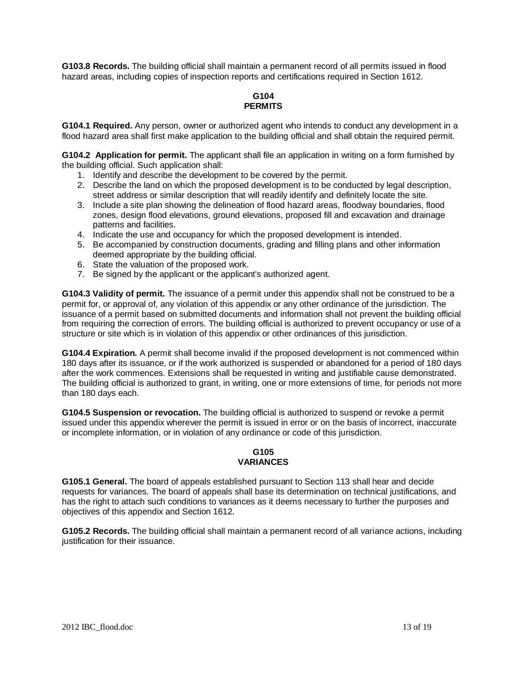**G103.8 Records.** The building official shall maintain a permanent record of all permits issued in flood hazard areas, including copies of inspection reports and certifications required in Section 1612.

## **G104 PERMITS**

**G104.1 Required.** Any person, owner or authorized agent who intends to conduct any development in a flood hazard area shall first make application to the building official and shall obtain the required permit.

**G104.2 Application for permit.** The applicant shall file an application in writing on a form furnished by the building official. Such application shall:

- 1. Identify and describe the development to be covered by the permit.
- 2. Describe the land on which the proposed development is to be conducted by legal description, street address or similar description that will readily identify and definitely locate the site.
- 3. Include a site plan showing the delineation of flood hazard areas, floodway boundaries, flood zones, design flood elevations, ground elevations, proposed fill and excavation and drainage patterns and facilities.
- 4. Indicate the use and occupancy for which the proposed development is intended.
- 5. Be accompanied by construction documents, grading and filling plans and other information deemed appropriate by the building official.
- 6. State the valuation of the proposed work.
- 7. Be signed by the applicant or the applicant's authorized agent.

**G104.3 Validity of permit.** The issuance of a permit under this appendix shall not be construed to be a permit for, or approval of, any violation of this appendix or any other ordinance of the jurisdiction. The issuance of a permit based on submitted documents and information shall not prevent the building official from requiring the correction of errors. The building official is authorized to prevent occupancy or use of a structure or site which is in violation of this appendix or other ordinances of this jurisdiction.

**G104.4 Expiration.** A permit shall become invalid if the proposed development is not commenced within 180 days after its issuance, or if the work authorized is suspended or abandoned for a period of 180 days after the work commences. Extensions shall be requested in writing and justifiable cause demonstrated. The building official is authorized to grant, in writing, one or more extensions of time, for periods not more than 180 days each.

**G104.5 Suspension or revocation.** The building official is authorized to suspend or revoke a permit issued under this appendix wherever the permit is issued in error or on the basis of incorrect, inaccurate or incomplete information, or in violation of any ordinance or code of this jurisdiction.

#### **G105 VARIANCES**

**G105.1 General.** The board of appeals established pursuant to Section 113 shall hear and decide requests for variances. The board of appeals shall base its determination on technical justifications, and has the right to attach such conditions to variances as it deems necessary to further the purposes and objectives of this appendix and Section 1612.

**G105.2 Records.** The building official shall maintain a permanent record of all variance actions, including justification for their issuance.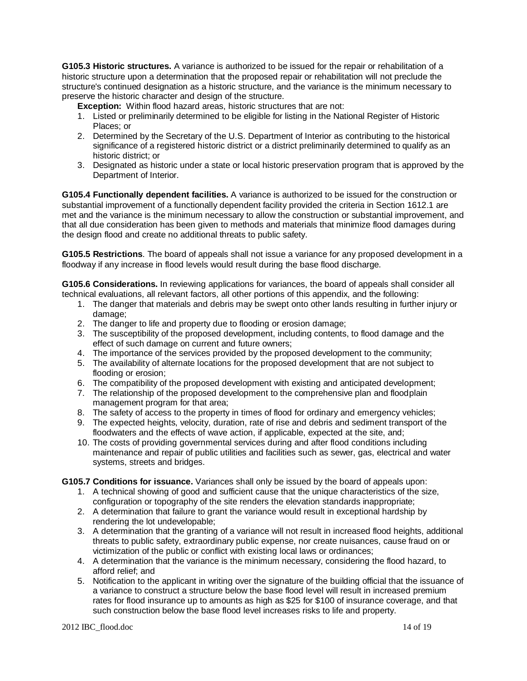**G105.3 Historic structures.** A variance is authorized to be issued for the repair or rehabilitation of a historic structure upon a determination that the proposed repair or rehabilitation will not preclude the structure's continued designation as a historic structure, and the variance is the minimum necessary to preserve the historic character and design of the structure.

**Exception:** Within flood hazard areas, historic structures that are not:

- 1. Listed or preliminarily determined to be eligible for listing in the National Register of Historic Places; or
- 2. Determined by the Secretary of the U.S. Department of Interior as contributing to the historical significance of a registered historic district or a district preliminarily determined to qualify as an historic district; or
- 3. Designated as historic under a state or local historic preservation program that is approved by the Department of Interior.

**G105.4 Functionally dependent facilities.** A variance is authorized to be issued for the construction or substantial improvement of a functionally dependent facility provided the criteria in Section 1612.1 are met and the variance is the minimum necessary to allow the construction or substantial improvement, and that all due consideration has been given to methods and materials that minimize flood damages during the design flood and create no additional threats to public safety.

**G105.5 Restrictions**. The board of appeals shall not issue a variance for any proposed development in a floodway if any increase in flood levels would result during the base flood discharge.

**G105.6 Considerations.** In reviewing applications for variances, the board of appeals shall consider all technical evaluations, all relevant factors, all other portions of this appendix, and the following:

- 1. The danger that materials and debris may be swept onto other lands resulting in further injury or damage:
- 2. The danger to life and property due to flooding or erosion damage;
- 3. The susceptibility of the proposed development, including contents, to flood damage and the effect of such damage on current and future owners;
- 4. The importance of the services provided by the proposed development to the community;
- 5. The availability of alternate locations for the proposed development that are not subject to flooding or erosion;
- 6. The compatibility of the proposed development with existing and anticipated development;
- 7. The relationship of the proposed development to the comprehensive plan and floodplain management program for that area;
- 8. The safety of access to the property in times of flood for ordinary and emergency vehicles;
- 9. The expected heights, velocity, duration, rate of rise and debris and sediment transport of the floodwaters and the effects of wave action, if applicable, expected at the site, and;
- 10. The costs of providing governmental services during and after flood conditions including maintenance and repair of public utilities and facilities such as sewer, gas, electrical and water systems, streets and bridges.

## **G105.7 Conditions for issuance.** Variances shall only be issued by the board of appeals upon:

- 1. A technical showing of good and sufficient cause that the unique characteristics of the size, configuration or topography of the site renders the elevation standards inappropriate;
- 2. A determination that failure to grant the variance would result in exceptional hardship by rendering the lot undevelopable;
- 3. A determination that the granting of a variance will not result in increased flood heights, additional threats to public safety, extraordinary public expense, nor create nuisances, cause fraud on or victimization of the public or conflict with existing local laws or ordinances;
- 4. A determination that the variance is the minimum necessary, considering the flood hazard, to afford relief; and
- 5. Notification to the applicant in writing over the signature of the building official that the issuance of a variance to construct a structure below the base flood level will result in increased premium rates for flood insurance up to amounts as high as \$25 for \$100 of insurance coverage, and that such construction below the base flood level increases risks to life and property.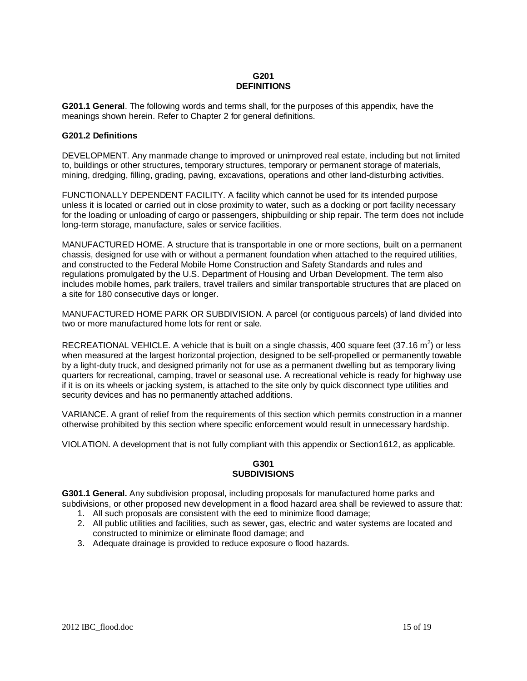#### **G201 DEFINITIONS**

**G201.1 General**. The following words and terms shall, for the purposes of this appendix, have the meanings shown herein. Refer to Chapter 2 for general definitions.

#### **G201.2 Definitions**

DEVELOPMENT. Any manmade change to improved or unimproved real estate, including but not limited to, buildings or other structures, temporary structures, temporary or permanent storage of materials, mining, dredging, filling, grading, paving, excavations, operations and other land-disturbing activities.

FUNCTIONALLY DEPENDENT FACILITY. A facility which cannot be used for its intended purpose unless it is located or carried out in close proximity to water, such as a docking or port facility necessary for the loading or unloading of cargo or passengers, shipbuilding or ship repair. The term does not include long-term storage, manufacture, sales or service facilities.

MANUFACTURED HOME. A structure that is transportable in one or more sections, built on a permanent chassis, designed for use with or without a permanent foundation when attached to the required utilities, and constructed to the Federal Mobile Home Construction and Safety Standards and rules and regulations promulgated by the U.S. Department of Housing and Urban Development. The term also includes mobile homes, park trailers, travel trailers and similar transportable structures that are placed on a site for 180 consecutive days or longer.

MANUFACTURED HOME PARK OR SUBDIVISION. A parcel (or contiguous parcels) of land divided into two or more manufactured home lots for rent or sale.

RECREATIONAL VEHICLE. A vehicle that is built on a single chassis, 400 square feet (37.16  $m^2$ ) or less when measured at the largest horizontal projection, designed to be self-propelled or permanently towable by a light-duty truck, and designed primarily not for use as a permanent dwelling but as temporary living quarters for recreational, camping, travel or seasonal use. A recreational vehicle is ready for highway use if it is on its wheels or jacking system, is attached to the site only by quick disconnect type utilities and security devices and has no permanently attached additions.

VARIANCE. A grant of relief from the requirements of this section which permits construction in a manner otherwise prohibited by this section where specific enforcement would result in unnecessary hardship.

VIOLATION. A development that is not fully compliant with this appendix or Section1612, as applicable.

#### **G301 SUBDIVISIONS**

**G301.1 General.** Any subdivision proposal, including proposals for manufactured home parks and subdivisions, or other proposed new development in a flood hazard area shall be reviewed to assure that:

- 1. All such proposals are consistent with the eed to minimize flood damage;
- 2. All public utilities and facilities, such as sewer, gas, electric and water systems are located and constructed to minimize or eliminate flood damage; and
- 3. Adequate drainage is provided to reduce exposure o flood hazards.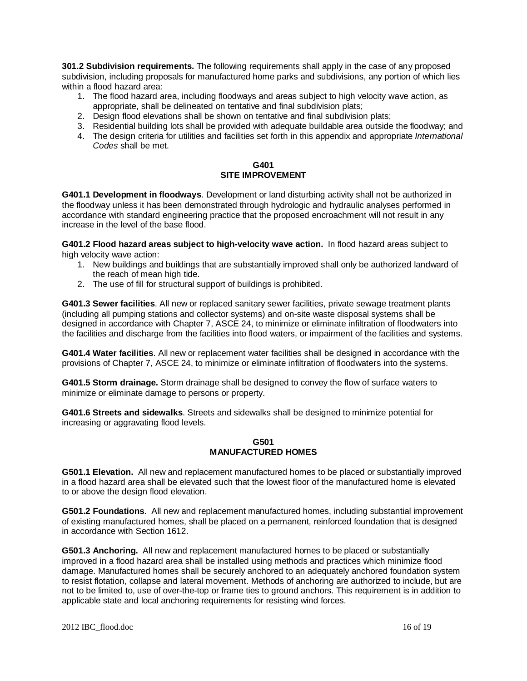**301.2 Subdivision requirements.** The following requirements shall apply in the case of any proposed subdivision, including proposals for manufactured home parks and subdivisions, any portion of which lies within a flood hazard area:

- 1. The flood hazard area, including floodways and areas subject to high velocity wave action, as appropriate, shall be delineated on tentative and final subdivision plats;
- 2. Design flood elevations shall be shown on tentative and final subdivision plats;
- 3. Residential building lots shall be provided with adequate buildable area outside the floodway; and
- 4. The design criteria for utilities and facilities set forth in this appendix and appropriate *International Codes* shall be met.

#### **G401 SITE IMPROVEMENT**

**G401.1 Development in floodways**. Development or land disturbing activity shall not be authorized in the floodway unless it has been demonstrated through hydrologic and hydraulic analyses performed in accordance with standard engineering practice that the proposed encroachment will not result in any increase in the level of the base flood.

**G401.2 Flood hazard areas subject to high-velocity wave action.** In flood hazard areas subject to high velocity wave action:

- 1. New buildings and buildings that are substantially improved shall only be authorized landward of the reach of mean high tide.
- 2. The use of fill for structural support of buildings is prohibited.

**G401.3 Sewer facilities**. All new or replaced sanitary sewer facilities, private sewage treatment plants (including all pumping stations and collector systems) and on-site waste disposal systems shall be designed in accordance with Chapter 7, ASCE 24, to minimize or eliminate infiltration of floodwaters into the facilities and discharge from the facilities into flood waters, or impairment of the facilities and systems.

**G401.4 Water facilities**. All new or replacement water facilities shall be designed in accordance with the provisions of Chapter 7, ASCE 24, to minimize or eliminate infiltration of floodwaters into the systems.

**G401.5 Storm drainage.** Storm drainage shall be designed to convey the flow of surface waters to minimize or eliminate damage to persons or property.

**G401.6 Streets and sidewalks**. Streets and sidewalks shall be designed to minimize potential for increasing or aggravating flood levels.

#### **G501 MANUFACTURED HOMES**

**G501.1 Elevation.** All new and replacement manufactured homes to be placed or substantially improved in a flood hazard area shall be elevated such that the lowest floor of the manufactured home is elevated to or above the design flood elevation.

**G501.2 Foundations**. All new and replacement manufactured homes, including substantial improvement of existing manufactured homes, shall be placed on a permanent, reinforced foundation that is designed in accordance with Section 1612.

**G501.3 Anchoring.** All new and replacement manufactured homes to be placed or substantially improved in a flood hazard area shall be installed using methods and practices which minimize flood damage. Manufactured homes shall be securely anchored to an adequately anchored foundation system to resist flotation, collapse and lateral movement. Methods of anchoring are authorized to include, but are not to be limited to, use of over-the-top or frame ties to ground anchors. This requirement is in addition to applicable state and local anchoring requirements for resisting wind forces.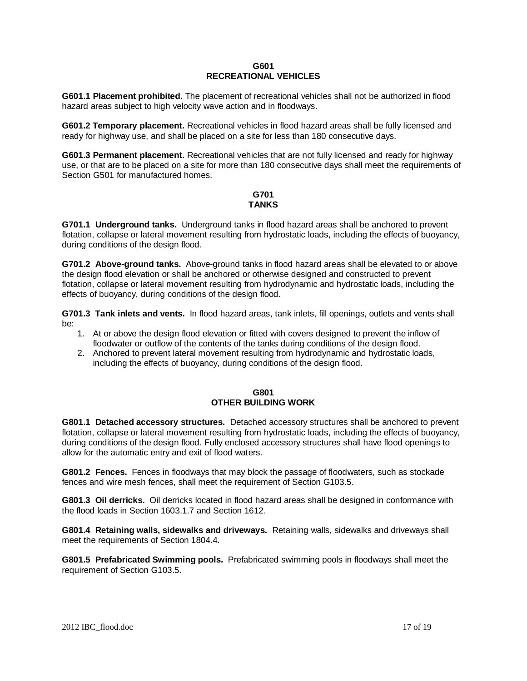#### **G601 RECREATIONAL VEHICLES**

**G601.1 Placement prohibited.** The placement of recreational vehicles shall not be authorized in flood hazard areas subject to high velocity wave action and in floodways.

**G601.2 Temporary placement.** Recreational vehicles in flood hazard areas shall be fully licensed and ready for highway use, and shall be placed on a site for less than 180 consecutive days.

**G601.3 Permanent placement.** Recreational vehicles that are not fully licensed and ready for highway use, or that are to be placed on a site for more than 180 consecutive days shall meet the requirements of Section G501 for manufactured homes.

#### **G701 TANKS**

**G701.1 Underground tanks.** Underground tanks in flood hazard areas shall be anchored to prevent flotation, collapse or lateral movement resulting from hydrostatic loads, including the effects of buoyancy, during conditions of the design flood.

**G701.2 Above-ground tanks.** Above-ground tanks in flood hazard areas shall be elevated to or above the design flood elevation or shall be anchored or otherwise designed and constructed to prevent flotation, collapse or lateral movement resulting from hydrodynamic and hydrostatic loads, including the effects of buoyancy, during conditions of the design flood.

**G701.3 Tank inlets and vents.** In flood hazard areas, tank inlets, fill openings, outlets and vents shall be:

- 1. At or above the design flood elevation or fitted with covers designed to prevent the inflow of floodwater or outflow of the contents of the tanks during conditions of the design flood.
- 2. Anchored to prevent lateral movement resulting from hydrodynamic and hydrostatic loads, including the effects of buoyancy, during conditions of the design flood.

#### **G801 OTHER BUILDING WORK**

**G801.1 Detached accessory structures.** Detached accessory structures shall be anchored to prevent flotation, collapse or lateral movement resulting from hydrostatic loads, including the effects of buoyancy, during conditions of the design flood. Fully enclosed accessory structures shall have flood openings to allow for the automatic entry and exit of flood waters.

**G801.2 Fences.** Fences in floodways that may block the passage of floodwaters, such as stockade fences and wire mesh fences, shall meet the requirement of Section G103.5.

**G801.3 Oil derricks.** Oil derricks located in flood hazard areas shall be designed in conformance with the flood loads in Section 1603.1.7 and Section 1612.

**G801.4 Retaining walls, sidewalks and driveways.** Retaining walls, sidewalks and driveways shall meet the requirements of Section 1804.4.

**G801.5 Prefabricated Swimming pools.** Prefabricated swimming pools in floodways shall meet the requirement of Section G103.5.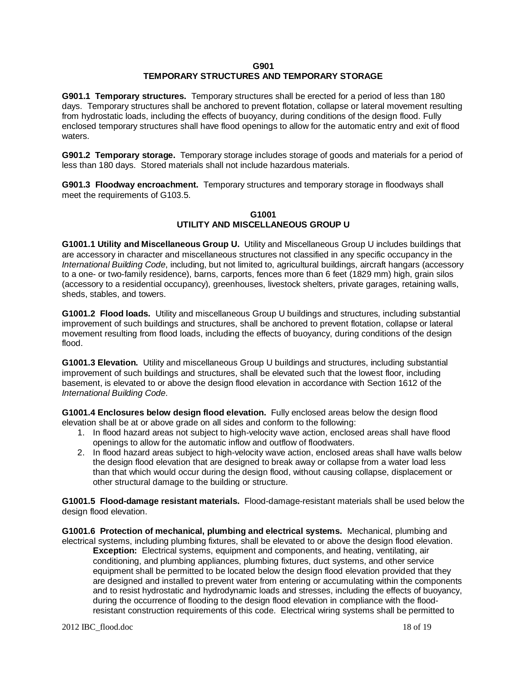#### **G901 TEMPORARY STRUCTURES AND TEMPORARY STORAGE**

**G901.1 Temporary structures.** Temporary structures shall be erected for a period of less than 180 days. Temporary structures shall be anchored to prevent flotation, collapse or lateral movement resulting from hydrostatic loads, including the effects of buoyancy, during conditions of the design flood. Fully enclosed temporary structures shall have flood openings to allow for the automatic entry and exit of flood waters.

**G901.2 Temporary storage.** Temporary storage includes storage of goods and materials for a period of less than 180 days. Stored materials shall not include hazardous materials.

**G901.3 Floodway encroachment.** Temporary structures and temporary storage in floodways shall meet the requirements of G103.5.

## **G1001 UTILITY AND MISCELLANEOUS GROUP U**

**G1001.1 Utility and Miscellaneous Group U.** Utility and Miscellaneous Group U includes buildings that are accessory in character and miscellaneous structures not classified in any specific occupancy in the *International Building Code*, including, but not limited to, agricultural buildings, aircraft hangars (accessory to a one- or two-family residence), barns, carports, fences more than 6 feet (1829 mm) high, grain silos (accessory to a residential occupancy), greenhouses, livestock shelters, private garages, retaining walls, sheds, stables, and towers.

**G1001.2 Flood loads.** Utility and miscellaneous Group U buildings and structures, including substantial improvement of such buildings and structures, shall be anchored to prevent flotation, collapse or lateral movement resulting from flood loads, including the effects of buoyancy, during conditions of the design flood.

**G1001.3 Elevation.** Utility and miscellaneous Group U buildings and structures, including substantial improvement of such buildings and structures, shall be elevated such that the lowest floor, including basement, is elevated to or above the design flood elevation in accordance with Section 1612 of the *International Building Code*.

**G1001.4 Enclosures below design flood elevation.** Fully enclosed areas below the design flood elevation shall be at or above grade on all sides and conform to the following:

- 1. In flood hazard areas not subject to high-velocity wave action, enclosed areas shall have flood openings to allow for the automatic inflow and outflow of floodwaters.
- 2. In flood hazard areas subject to high-velocity wave action, enclosed areas shall have walls below the design flood elevation that are designed to break away or collapse from a water load less than that which would occur during the design flood, without causing collapse, displacement or other structural damage to the building or structure.

**G1001.5 Flood-damage resistant materials.** Flood-damage-resistant materials shall be used below the design flood elevation.

**G1001.6 Protection of mechanical, plumbing and electrical systems.** Mechanical, plumbing and electrical systems, including plumbing fixtures, shall be elevated to or above the design flood elevation.

**Exception:** Electrical systems, equipment and components, and heating, ventilating, air conditioning, and plumbing appliances, plumbing fixtures, duct systems, and other service equipment shall be permitted to be located below the design flood elevation provided that they are designed and installed to prevent water from entering or accumulating within the components and to resist hydrostatic and hydrodynamic loads and stresses, including the effects of buoyancy, during the occurrence of flooding to the design flood elevation in compliance with the floodresistant construction requirements of this code. Electrical wiring systems shall be permitted to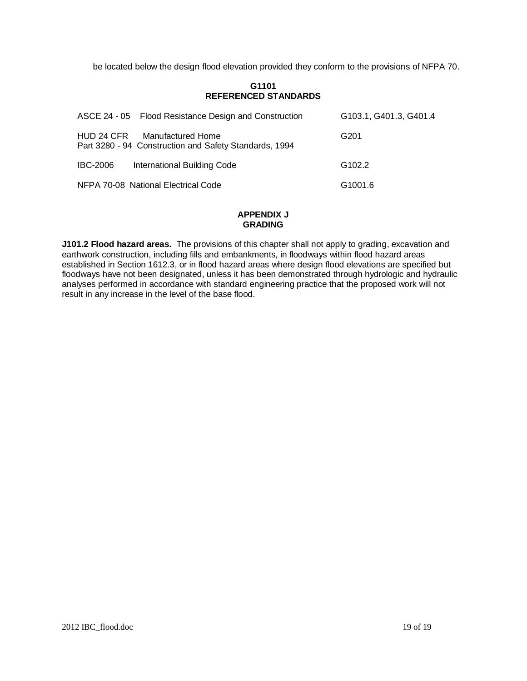be located below the design flood elevation provided they conform to the provisions of NFPA 70.

## **G1101 REFERENCED STANDARDS**

|          | ASCE 24 - 05 Flood Resistance Design and Construction                                  | G103.1, G401.3, G401.4 |
|----------|----------------------------------------------------------------------------------------|------------------------|
|          | HUD 24 CFR Manufactured Home<br>Part 3280 - 94 Construction and Safety Standards, 1994 | G <sub>201</sub>       |
| IBC-2006 | International Building Code                                                            | G <sub>102.2</sub>     |
|          | NFPA 70-08 National Electrical Code                                                    | G1001.6                |

## **APPENDIX J GRADING**

**J101.2 Flood hazard areas.** The provisions of this chapter shall not apply to grading, excavation and earthwork construction, including fills and embankments, in floodways within flood hazard areas established in Section 1612.3, or in flood hazard areas where design flood elevations are specified but floodways have not been designated, unless it has been demonstrated through hydrologic and hydraulic analyses performed in accordance with standard engineering practice that the proposed work will not result in any increase in the level of the base flood.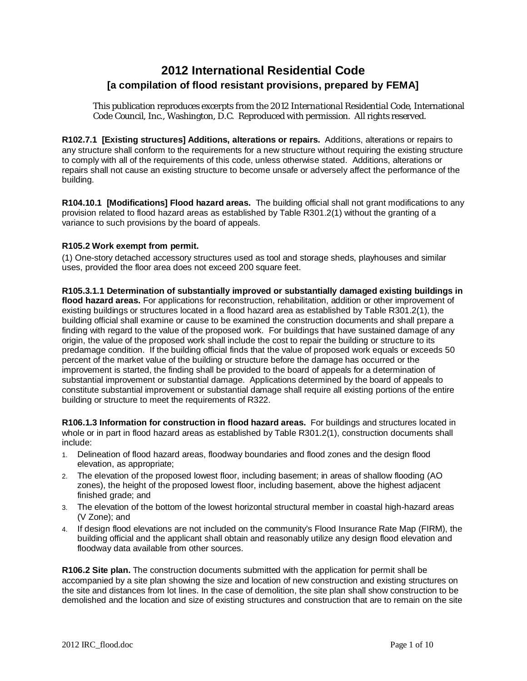## **2012 International Residential Code [a compilation of flood resistant provisions, prepared by FEMA]**

This publication reproduces excerpts from the *2012 International Residential Code*, International Code Council, Inc., Washington, D.C. Reproduced with permission. All rights reserved.

**R102.7.1 [Existing structures] Additions, alterations or repairs.** Additions, alterations or repairs to any structure shall conform to the requirements for a new structure without requiring the existing structure to comply with all of the requirements of this code, unless otherwise stated. Additions, alterations or repairs shall not cause an existing structure to become unsafe or adversely affect the performance of the building.

**R104.10.1 [Modifications] Flood hazard areas.** The building official shall not grant modifications to any provision related to flood hazard areas as established by Table R301.2(1) without the granting of a variance to such provisions by the board of appeals.

## **R105.2 Work exempt from permit.**

(1) One-story detached accessory structures used as tool and storage sheds, playhouses and similar uses, provided the floor area does not exceed 200 square feet.

**R105.3.1.1 Determination of substantially improved or substantially damaged existing buildings in flood hazard areas.** For applications for reconstruction, rehabilitation, addition or other improvement of existing buildings or structures located in a flood hazard area as established by Table R301.2(1), the building official shall examine or cause to be examined the construction documents and shall prepare a finding with regard to the value of the proposed work. For buildings that have sustained damage of any origin, the value of the proposed work shall include the cost to repair the building or structure to its predamage condition. If the building official finds that the value of proposed work equals or exceeds 50 percent of the market value of the building or structure before the damage has occurred or the improvement is started, the finding shall be provided to the board of appeals for a determination of substantial improvement or substantial damage. Applications determined by the board of appeals to constitute substantial improvement or substantial damage shall require all existing portions of the entire building or structure to meet the requirements of R322.

**R106.1.3 Information for construction in flood hazard areas.** For buildings and structures located in whole or in part in flood hazard areas as established by Table R301.2(1), construction documents shall include:

- 1. Delineation of flood hazard areas, floodway boundaries and flood zones and the design flood elevation, as appropriate;
- 2. The elevation of the proposed lowest floor, including basement; in areas of shallow flooding (AO zones), the height of the proposed lowest floor, including basement, above the highest adjacent finished grade; and
- 3. The elevation of the bottom of the lowest horizontal structural member in coastal high-hazard areas (V Zone); and
- 4. If design flood elevations are not included on the community's Flood Insurance Rate Map (FIRM), the building official and the applicant shall obtain and reasonably utilize any design flood elevation and floodway data available from other sources.

**R106.2 Site plan.** The construction documents submitted with the application for permit shall be accompanied by a site plan showing the size and location of new construction and existing structures on the site and distances from lot lines. In the case of demolition, the site plan shall show construction to be demolished and the location and size of existing structures and construction that are to remain on the site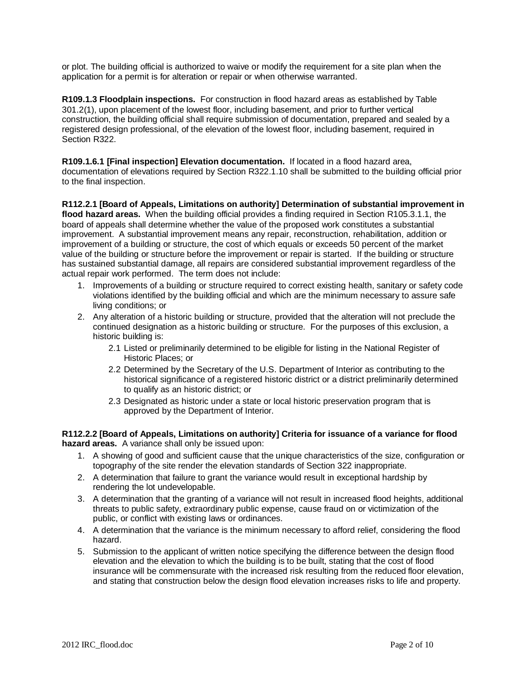or plot. The building official is authorized to waive or modify the requirement for a site plan when the application for a permit is for alteration or repair or when otherwise warranted.

**R109.1.3 Floodplain inspections.** For construction in flood hazard areas as established by Table 301.2(1), upon placement of the lowest floor, including basement, and prior to further vertical construction, the building official shall require submission of documentation, prepared and sealed by a registered design professional, of the elevation of the lowest floor, including basement, required in Section R322.

**R109.1.6.1 [Final inspection] Elevation documentation.** If located in a flood hazard area, documentation of elevations required by Section R322.1.10 shall be submitted to the building official prior to the final inspection.

**R112.2.1 [Board of Appeals, Limitations on authority] Determination of substantial improvement in flood hazard areas.** When the building official provides a finding required in Section R105.3.1.1, the board of appeals shall determine whether the value of the proposed work constitutes a substantial improvement. A substantial improvement means any repair, reconstruction, rehabilitation, addition or improvement of a building or structure, the cost of which equals or exceeds 50 percent of the market value of the building or structure before the improvement or repair is started. If the building or structure has sustained substantial damage, all repairs are considered substantial improvement regardless of the actual repair work performed. The term does not include:

- 1. Improvements of a building or structure required to correct existing health, sanitary or safety code violations identified by the building official and which are the minimum necessary to assure safe living conditions; or
- 2. Any alteration of a historic building or structure, provided that the alteration will not preclude the continued designation as a historic building or structure. For the purposes of this exclusion, a historic building is:
	- 2.1 Listed or preliminarily determined to be eligible for listing in the National Register of Historic Places; or
	- 2.2 Determined by the Secretary of the U.S. Department of Interior as contributing to the historical significance of a registered historic district or a district preliminarily determined to qualify as an historic district; or
	- 2.3 Designated as historic under a state or local historic preservation program that is approved by the Department of Interior.

**R112.2.2 [Board of Appeals, Limitations on authority] Criteria for issuance of a variance for flood hazard areas.** A variance shall only be issued upon:

- 1. A showing of good and sufficient cause that the unique characteristics of the size, configuration or topography of the site render the elevation standards of Section 322 inappropriate.
- 2. A determination that failure to grant the variance would result in exceptional hardship by rendering the lot undevelopable.
- 3. A determination that the granting of a variance will not result in increased flood heights, additional threats to public safety, extraordinary public expense, cause fraud on or victimization of the public, or conflict with existing laws or ordinances.
- 4. A determination that the variance is the minimum necessary to afford relief, considering the flood hazard.
- 5. Submission to the applicant of written notice specifying the difference between the design flood elevation and the elevation to which the building is to be built, stating that the cost of flood insurance will be commensurate with the increased risk resulting from the reduced floor elevation, and stating that construction below the design flood elevation increases risks to life and property.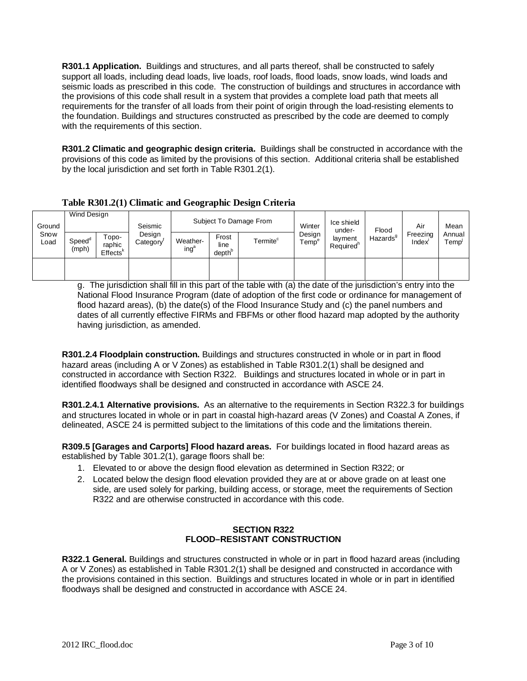**R301.1 Application.** Buildings and structures, and all parts thereof, shall be constructed to safely support all loads, including dead loads, live loads, roof loads, flood loads, snow loads, wind loads and seismic loads as prescribed in this code. The construction of buildings and structures in accordance with the provisions of this code shall result in a system that provides a complete load path that meets all requirements for the transfer of all loads from their point of origin through the load-resisting elements to the foundation. Buildings and structures constructed as prescribed by the code are deemed to comply with the requirements of this section.

**R301.2 Climatic and geographic design criteria.** Buildings shall be constructed in accordance with the provisions of this code as limited by the provisions of this section. Additional criteria shall be established by the local jurisdiction and set forth in Table R301.2(1).

| Ground<br>Snow<br>∟oad | Wind Design                 |                                         | Seismic                         | Subject To Damage From       |                                     | Winter               | Ice shield<br>under-        | Flood                            | Air                  | Mean              |                |
|------------------------|-----------------------------|-----------------------------------------|---------------------------------|------------------------------|-------------------------------------|----------------------|-----------------------------|----------------------------------|----------------------|-------------------|----------------|
|                        | Speed <sup>®</sup><br>(mph) | Горо-<br>raphic<br>Effects <sup>*</sup> | Design<br>Category <sup>'</sup> | Weather-<br>ing <sup>a</sup> | Frost<br>line<br>depth <sup>o</sup> | Termite <sup>c</sup> | Design<br>Temp <sup>e</sup> | layment<br>Required <sup>®</sup> | Hazards <sup>9</sup> | Freezing<br>Index | Annual<br>Temp |
|                        |                             |                                         |                                 |                              |                                     |                      |                             |                                  |                      |                   |                |

g. The jurisdiction shall fill in this part of the table with (a) the date of the jurisdiction's entry into the National Flood Insurance Program (date of adoption of the first code or ordinance for management of flood hazard areas), (b) the date(s) of the Flood Insurance Study and (c) the panel numbers and dates of all currently effective FIRMs and FBFMs or other flood hazard map adopted by the authority having jurisdiction, as amended.

**R301.2.4 Floodplain construction.** Buildings and structures constructed in whole or in part in flood hazard areas (including A or V Zones) as established in Table R301.2(1) shall be designed and constructed in accordance with Section R322. Buildings and structures located in whole or in part in identified floodways shall be designed and constructed in accordance with ASCE 24*.*

**R301.2.4.1 Alternative provisions.** As an alternative to the requirements in Section R322.3 for buildings and structures located in whole or in part in coastal high-hazard areas (V Zones) and Coastal A Zones, if delineated, ASCE 24 is permitted subject to the limitations of this code and the limitations therein.

**R309.5 [Garages and Carports] Flood hazard areas.** For buildings located in flood hazard areas as established by Table 301.2(1), garage floors shall be:

- 1. Elevated to or above the design flood elevation as determined in Section R322; or
- 2. Located below the design flood elevation provided they are at or above grade on at least one side, are used solely for parking, building access, or storage, meet the requirements of Section R322 and are otherwise constructed in accordance with this code.

## **SECTION R322 FLOOD–RESISTANT CONSTRUCTION**

**R322.1 General.** Buildings and structures constructed in whole or in part in flood hazard areas (including A or V Zones) as established in Table R301.2(1) shall be designed and constructed in accordance with the provisions contained in this section. Buildings and structures located in whole or in part in identified floodways shall be designed and constructed in accordance with ASCE 24.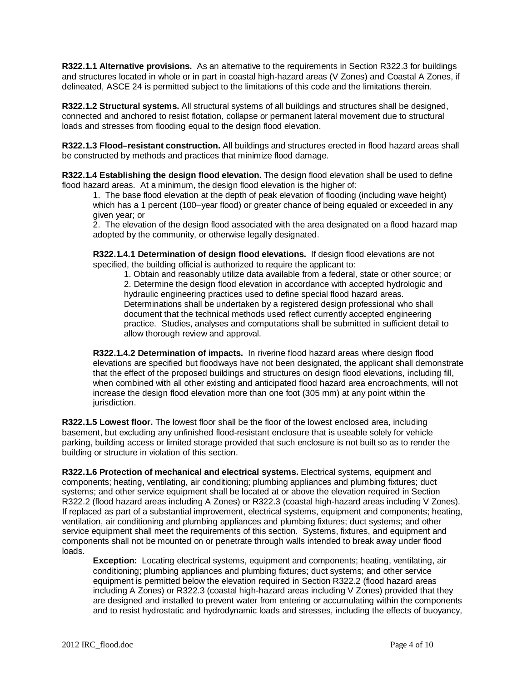**R322.1.1 Alternative provisions.** As an alternative to the requirements in Section R322.3 for buildings and structures located in whole or in part in coastal high-hazard areas (V Zones) and Coastal A Zones, if delineated, ASCE 24 is permitted subject to the limitations of this code and the limitations therein.

**R322.1.2 Structural systems.** All structural systems of all buildings and structures shall be designed, connected and anchored to resist flotation, collapse or permanent lateral movement due to structural loads and stresses from flooding equal to the design flood elevation.

**R322.1.3 Flood–resistant construction.** All buildings and structures erected in flood hazard areas shall be constructed by methods and practices that minimize flood damage.

**R322.1.4 Establishing the design flood elevation.** The design flood elevation shall be used to define flood hazard areas. At a minimum, the design flood elevation is the higher of:

1. The base flood elevation at the depth of peak elevation of flooding (including wave height) which has a 1 percent (100–year flood) or greater chance of being equaled or exceeded in any given year; or

2. The elevation of the design flood associated with the area designated on a flood hazard map adopted by the community, or otherwise legally designated.

**R322.1.4.1 Determination of design flood elevations.** If design flood elevations are not specified, the building official is authorized to require the applicant to:

1. Obtain and reasonably utilize data available from a federal, state or other source; or 2. Determine the design flood elevation in accordance with accepted hydrologic and hydraulic engineering practices used to define special flood hazard areas. Determinations shall be undertaken by a registered design professional who shall document that the technical methods used reflect currently accepted engineering practice. Studies, analyses and computations shall be submitted in sufficient detail to allow thorough review and approval.

**R322.1.4.2 Determination of impacts.** In riverine flood hazard areas where design flood elevations are specified but floodways have not been designated, the applicant shall demonstrate that the effect of the proposed buildings and structures on design flood elevations, including fill, when combined with all other existing and anticipated flood hazard area encroachments, will not increase the design flood elevation more than one foot (305 mm) at any point within the jurisdiction.

**R322.1.5 Lowest floor.** The lowest floor shall be the floor of the lowest enclosed area, including basement, but excluding any unfinished flood-resistant enclosure that is useable solely for vehicle parking, building access or limited storage provided that such enclosure is not built so as to render the building or structure in violation of this section.

**R322.1.6 Protection of mechanical and electrical systems.** Electrical systems, equipment and components; heating, ventilating, air conditioning; plumbing appliances and plumbing fixtures; duct systems; and other service equipment shall be located at or above the elevation required in Section R322.2 (flood hazard areas including A Zones) or R322.3 (coastal high-hazard areas including V Zones). If replaced as part of a substantial improvement, electrical systems, equipment and components; heating, ventilation, air conditioning and plumbing appliances and plumbing fixtures; duct systems; and other service equipment shall meet the requirements of this section. Systems, fixtures, and equipment and components shall not be mounted on or penetrate through walls intended to break away under flood loads.

**Exception:** Locating electrical systems, equipment and components; heating, ventilating, air conditioning; plumbing appliances and plumbing fixtures; duct systems; and other service equipment is permitted below the elevation required in Section R322.2 (flood hazard areas including A Zones) or R322.3 (coastal high-hazard areas including V Zones) provided that they are designed and installed to prevent water from entering or accumulating within the components and to resist hydrostatic and hydrodynamic loads and stresses, including the effects of buoyancy,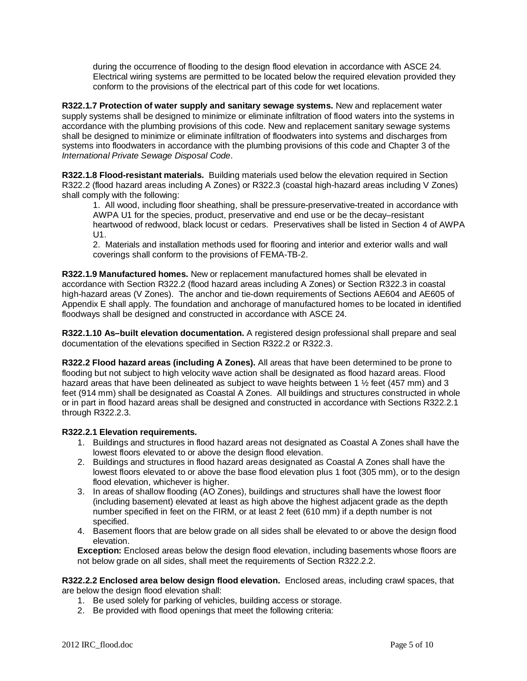during the occurrence of flooding to the design flood elevation in accordance with ASCE 24*.*  Electrical wiring systems are permitted to be located below the required elevation provided they conform to the provisions of the electrical part of this code for wet locations.

**R322.1.7 Protection of water supply and sanitary sewage systems.** New and replacement water supply systems shall be designed to minimize or eliminate infiltration of flood waters into the systems in accordance with the plumbing provisions of this code. New and replacement sanitary sewage systems shall be designed to minimize or eliminate infiltration of floodwaters into systems and discharges from systems into floodwaters in accordance with the plumbing provisions of this code and Chapter 3 of the *International Private Sewage Disposal Code*.

**R322.1.8 Flood-resistant materials.** Building materials used below the elevation required in Section R322.2 (flood hazard areas including A Zones) or R322.3 (coastal high-hazard areas including V Zones) shall comply with the following:

1. All wood, including floor sheathing, shall be pressure-preservative-treated in accordance with AWPA U1 for the species, product, preservative and end use or be the decay–resistant heartwood of redwood, black locust or cedars. Preservatives shall be listed in Section 4 of AWPA U1.

2. Materials and installation methods used for flooring and interior and exterior walls and wall coverings shall conform to the provisions of FEMA-TB-2.

**R322.1.9 Manufactured homes.** New or replacement manufactured homes shall be elevated in accordance with Section R322.2 (flood hazard areas including A Zones) or Section R322.3 in coastal high-hazard areas (V Zones). The anchor and tie-down requirements of Sections AE604 and AE605 of Appendix E shall apply. The foundation and anchorage of manufactured homes to be located in identified floodways shall be designed and constructed in accordance with ASCE 24*.*

**R322.1.10 As–built elevation documentation.** A registered design professional shall prepare and seal documentation of the elevations specified in Section R322.2 or R322.3.

**R322.2 Flood hazard areas (including A Zones).** All areas that have been determined to be prone to flooding but not subject to high velocity wave action shall be designated as flood hazard areas. Flood hazard areas that have been delineated as subject to wave heights between 1  $\frac{1}{2}$  feet (457 mm) and 3 feet (914 mm) shall be designated as Coastal A Zones. All buildings and structures constructed in whole or in part in flood hazard areas shall be designed and constructed in accordance with Sections R322.2.1 through R322.2.3.

## **R322.2.1 Elevation requirements.**

- 1. Buildings and structures in flood hazard areas not designated as Coastal A Zones shall have the lowest floors elevated to or above the design flood elevation.
- 2. Buildings and structures in flood hazard areas designated as Coastal A Zones shall have the lowest floors elevated to or above the base flood elevation plus 1 foot (305 mm), or to the design flood elevation, whichever is higher.
- 3. In areas of shallow flooding (AO Zones), buildings and structures shall have the lowest floor (including basement) elevated at least as high above the highest adjacent grade as the depth number specified in feet on the FIRM, or at least 2 feet (610 mm) if a depth number is not specified.
- 4. Basement floors that are below grade on all sides shall be elevated to or above the design flood elevation.

**Exception:** Enclosed areas below the design flood elevation, including basements whose floors are not below grade on all sides, shall meet the requirements of Section R322.2.2.

**R322.2.2 Enclosed area below design flood elevation.** Enclosed areas, including crawl spaces, that are below the design flood elevation shall:

- 1. Be used solely for parking of vehicles, building access or storage.
- 2. Be provided with flood openings that meet the following criteria: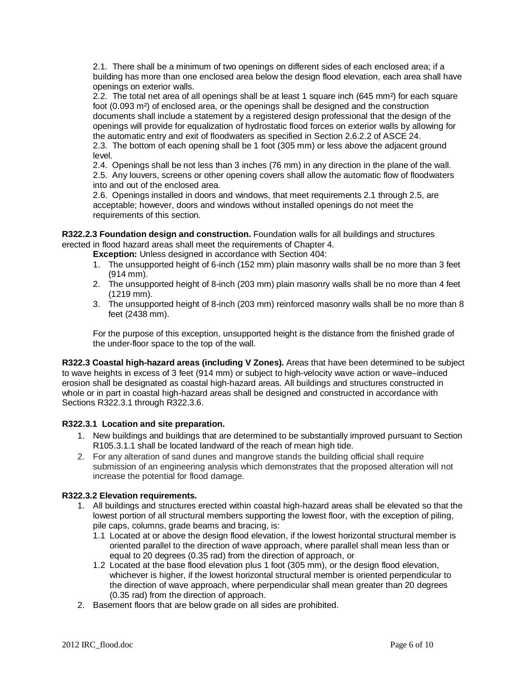2.1. There shall be a minimum of two openings on different sides of each enclosed area; if a building has more than one enclosed area below the design flood elevation, each area shall have openings on exterior walls.

2.2. The total net area of all openings shall be at least 1 square inch (645 mm²) for each square foot (0.093 m²) of enclosed area, or the openings shall be designed and the construction documents shall include a statement by a registered design professional that the design of the openings will provide for equalization of hydrostatic flood forces on exterior walls by allowing for the automatic entry and exit of floodwaters as specified in Section 2.6.2.2 of ASCE 24.

2.3. The bottom of each opening shall be 1 foot (305 mm) or less above the adjacent ground level.

2.4. Openings shall be not less than 3 inches (76 mm) in any direction in the plane of the wall. 2.5. Any louvers, screens or other opening covers shall allow the automatic flow of floodwaters into and out of the enclosed area.

2.6. Openings installed in doors and windows, that meet requirements 2.1 through 2.5, are acceptable; however, doors and windows without installed openings do not meet the requirements of this section.

**R322.2.3 Foundation design and construction.** Foundation walls for all buildings and structures erected in flood hazard areas shall meet the requirements of Chapter 4.

**Exception:** Unless designed in accordance with Section 404:

- 1. The unsupported height of 6-inch (152 mm) plain masonry walls shall be no more than 3 feet (914 mm).
- 2. The unsupported height of 8-inch (203 mm) plain masonry walls shall be no more than 4 feet (1219 mm).
- 3. The unsupported height of 8-inch (203 mm) reinforced masonry walls shall be no more than 8 feet (2438 mm).

For the purpose of this exception, unsupported height is the distance from the finished grade of the under-floor space to the top of the wall.

**R322.3 Coastal high-hazard areas (including V Zones).** Areas that have been determined to be subject to wave heights in excess of 3 feet (914 mm) or subject to high-velocity wave action or wave–induced erosion shall be designated as coastal high-hazard areas. All buildings and structures constructed in whole or in part in coastal high-hazard areas shall be designed and constructed in accordance with Sections R322.3.1 through R322.3.6.

## **R322.3.1 Location and site preparation.**

- 1. New buildings and buildings that are determined to be substantially improved pursuant to Section R105.3.1.1 shall be located landward of the reach of mean high tide.
- 2. For any alteration of sand dunes and mangrove stands the building official shall require submission of an engineering analysis which demonstrates that the proposed alteration will not increase the potential for flood damage.

#### **R322.3.2 Elevation requirements.**

- 1. All buildings and structures erected within coastal high-hazard areas shall be elevated so that the lowest portion of all structural members supporting the lowest floor, with the exception of piling, pile caps, columns, grade beams and bracing, is:
	- 1.1 Located at or above the design flood elevation, if the lowest horizontal structural member is oriented parallel to the direction of wave approach, where parallel shall mean less than or equal to 20 degrees (0.35 rad) from the direction of approach, or
	- 1.2 Located at the base flood elevation plus 1 foot (305 mm), or the design flood elevation, whichever is higher, if the lowest horizontal structural member is oriented perpendicular to the direction of wave approach, where perpendicular shall mean greater than 20 degrees (0.35 rad) from the direction of approach.
- 2. Basement floors that are below grade on all sides are prohibited.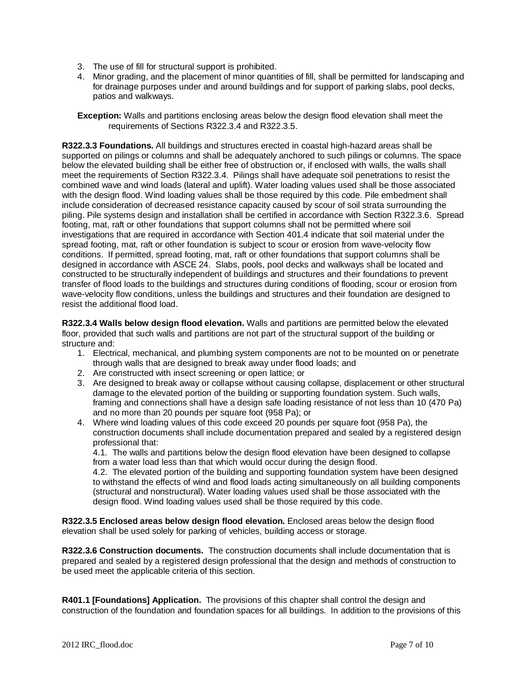- 3. The use of fill for structural support is prohibited.
- 4. Minor grading, and the placement of minor quantities of fill, shall be permitted for landscaping and for drainage purposes under and around buildings and for support of parking slabs, pool decks, patios and walkways.
- **Exception:** Walls and partitions enclosing areas below the design flood elevation shall meet the requirements of Sections R322.3.4 and R322.3.5.

**R322.3.3 Foundations.** All buildings and structures erected in coastal high-hazard areas shall be supported on pilings or columns and shall be adequately anchored to such pilings or columns. The space below the elevated building shall be either free of obstruction or, if enclosed with walls, the walls shall meet the requirements of Section R322.3.4. Pilings shall have adequate soil penetrations to resist the combined wave and wind loads (lateral and uplift). Water loading values used shall be those associated with the design flood. Wind loading values shall be those required by this code. Pile embedment shall include consideration of decreased resistance capacity caused by scour of soil strata surrounding the piling. Pile systems design and installation shall be certified in accordance with Section R322.3.6. Spread footing, mat, raft or other foundations that support columns shall not be permitted where soil investigations that are required in accordance with Section 401.4 indicate that soil material under the spread footing, mat, raft or other foundation is subject to scour or erosion from wave-velocity flow conditions. If permitted, spread footing, mat, raft or other foundations that support columns shall be designed in accordance with ASCE 24. Slabs, pools, pool decks and walkways shall be located and constructed to be structurally independent of buildings and structures and their foundations to prevent transfer of flood loads to the buildings and structures during conditions of flooding, scour or erosion from wave-velocity flow conditions, unless the buildings and structures and their foundation are designed to resist the additional flood load.

**R322.3.4 Walls below design flood elevation.** Walls and partitions are permitted below the elevated floor, provided that such walls and partitions are not part of the structural support of the building or structure and:

- 1. Electrical, mechanical, and plumbing system components are not to be mounted on or penetrate through walls that are designed to break away under flood loads; and
- 2. Are constructed with insect screening or open lattice; or
- 3. Are designed to break away or collapse without causing collapse, displacement or other structural damage to the elevated portion of the building or supporting foundation system. Such walls, framing and connections shall have a design safe loading resistance of not less than 10 (470 Pa) and no more than 20 pounds per square foot (958 Pa); or
- 4. Where wind loading values of this code exceed 20 pounds per square foot (958 Pa), the construction documents shall include documentation prepared and sealed by a registered design professional that:

4.1. The walls and partitions below the design flood elevation have been designed to collapse from a water load less than that which would occur during the design flood.

4.2. The elevated portion of the building and supporting foundation system have been designed to withstand the effects of wind and flood loads acting simultaneously on all building components (structural and nonstructural). Water loading values used shall be those associated with the design flood. Wind loading values used shall be those required by this code.

**R322.3.5 Enclosed areas below design flood elevation.** Enclosed areas below the design flood elevation shall be used solely for parking of vehicles, building access or storage.

**R322.3.6 Construction documents.** The construction documents shall include documentation that is prepared and sealed by a registered design professional that the design and methods of construction to be used meet the applicable criteria of this section.

**R401.1 [Foundations] Application.** The provisions of this chapter shall control the design and construction of the foundation and foundation spaces for all buildings. In addition to the provisions of this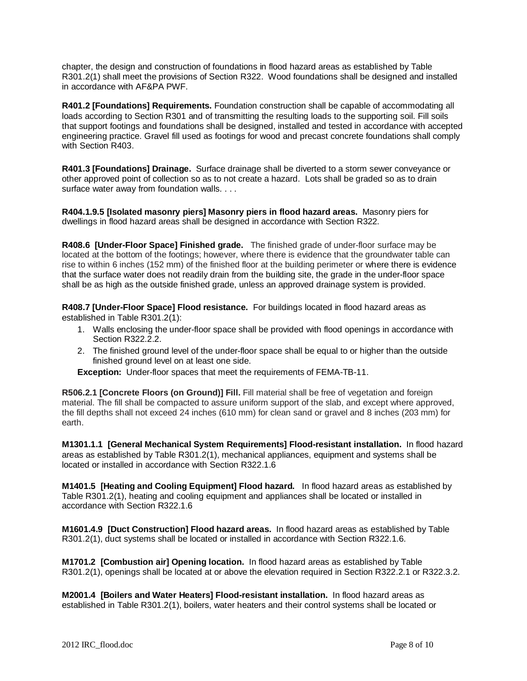chapter, the design and construction of foundations in flood hazard areas as established by Table R301.2(1) shall meet the provisions of Section R322. Wood foundations shall be designed and installed in accordance with AF&PA PWF.

**R401.2 [Foundations] Requirements.** Foundation construction shall be capable of accommodating all loads according to Section R301 and of transmitting the resulting loads to the supporting soil. Fill soils that support footings and foundations shall be designed, installed and tested in accordance with accepted engineering practice. Gravel fill used as footings for wood and precast concrete foundations shall comply with Section R403.

**R401.3 [Foundations] Drainage.** Surface drainage shall be diverted to a storm sewer conveyance or other approved point of collection so as to not create a hazard. Lots shall be graded so as to drain surface water away from foundation walls. . . .

**R404.1.9.5 [Isolated masonry piers] Masonry piers in flood hazard areas.** Masonry piers for dwellings in flood hazard areas shall be designed in accordance with Section R322.

**R408.6 [Under-Floor Space] Finished grade.** The finished grade of under-floor surface may be located at the bottom of the footings; however, where there is evidence that the groundwater table can rise to within 6 inches (152 mm) of the finished floor at the building perimeter or where there is evidence that the surface water does not readily drain from the building site, the grade in the under-floor space shall be as high as the outside finished grade, unless an approved drainage system is provided.

**R408.7 [Under-Floor Space] Flood resistance.** For buildings located in flood hazard areas as established in Table R301.2(1):

- 1. Walls enclosing the under-floor space shall be provided with flood openings in accordance with Section R322.2.2.
- 2. The finished ground level of the under-floor space shall be equal to or higher than the outside finished ground level on at least one side.

**Exception:** Under-floor spaces that meet the requirements of FEMA-TB-11.

**R506.2.1 [Concrete Floors (on Ground)] Fill.** Fill material shall be free of vegetation and foreign material. The fill shall be compacted to assure uniform support of the slab, and except where approved, the fill depths shall not exceed 24 inches (610 mm) for clean sand or gravel and 8 inches (203 mm) for earth.

**M1301.1.1 [General Mechanical System Requirements] Flood-resistant installation.** In flood hazard areas as established by Table R301.2(1), mechanical appliances, equipment and systems shall be located or installed in accordance with Section R322.1.6

**M1401.5 [Heating and Cooling Equipment] Flood hazard.** In flood hazard areas as established by Table R301.2(1), heating and cooling equipment and appliances shall be located or installed in accordance with Section R322.1.6

**M1601.4.9 [Duct Construction] Flood hazard areas.** In flood hazard areas as established by Table R301.2(1), duct systems shall be located or installed in accordance with Section R322.1.6.

**M1701.2 [Combustion air] Opening location.** In flood hazard areas as established by Table R301.2(1), openings shall be located at or above the elevation required in Section R322.2.1 or R322.3.2.

**M2001.4 [Boilers and Water Heaters] Flood-resistant installation.** In flood hazard areas as established in Table R301.2(1), boilers, water heaters and their control systems shall be located or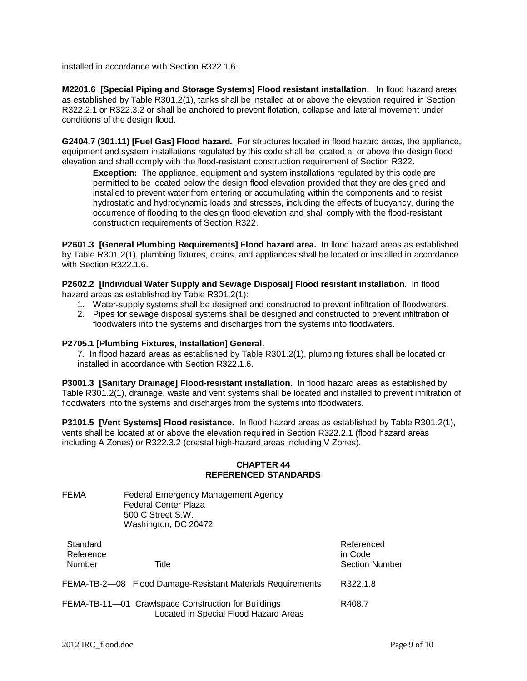installed in accordance with Section R322.1.6.

**M2201.6 [Special Piping and Storage Systems] Flood resistant installation.** In flood hazard areas as established by Table R301.2(1), tanks shall be installed at or above the elevation required in Section R322.2.1 or R322.3.2 or shall be anchored to prevent flotation, collapse and lateral movement under conditions of the design flood.

**G2404.7 (301.11) [Fuel Gas] Flood hazard.** For structures located in flood hazard areas, the appliance, equipment and system installations regulated by this code shall be located at or above the design flood elevation and shall comply with the flood-resistant construction requirement of Section R322.

**Exception:** The appliance, equipment and system installations regulated by this code are permitted to be located below the design flood elevation provided that they are designed and installed to prevent water from entering or accumulating within the components and to resist hydrostatic and hydrodynamic loads and stresses, including the effects of buoyancy, during the occurrence of flooding to the design flood elevation and shall comply with the flood-resistant construction requirements of Section R322.

**P2601.3 [General Plumbing Requirements] Flood hazard area.** In flood hazard areas as established by Table R301.2(1), plumbing fixtures, drains, and appliances shall be located or installed in accordance with Section R322.1.6.

**P2602.2 [Individual Water Supply and Sewage Disposal] Flood resistant installation.** In flood hazard areas as established by Table R301.2(1):

- 1. Water-supply systems shall be designed and constructed to prevent infiltration of floodwaters.
- 2. Pipes for sewage disposal systems shall be designed and constructed to prevent infiltration of floodwaters into the systems and discharges from the systems into floodwaters.

#### **P2705.1 [Plumbing Fixtures, Installation] General.**

7. In flood hazard areas as established by Table R301.2(1), plumbing fixtures shall be located or installed in accordance with Section R322.1.6.

**P3001.3 [Sanitary Drainage] Flood-resistant installation.** In flood hazard areas as established by Table R301.2(1), drainage, waste and vent systems shall be located and installed to prevent infiltration of floodwaters into the systems and discharges from the systems into floodwaters.

**P3101.5 [Vent Systems] Flood resistance.** In flood hazard areas as established by Table R301.2(1), vents shall be located at or above the elevation required in Section R322.2.1 (flood hazard areas including A Zones) or R322.3.2 (coastal high-hazard areas including V Zones).

#### **CHAPTER 44 REFERENCED STANDARDS**

FEMA Federal Emergency Management Agency Federal Center Plaza 500 C Street S.W. Washington, DC 20472

| Standard<br>Reference<br><b>Number</b> | Title                                                                                        | Referenced<br>in Code<br><b>Section Number</b> |
|----------------------------------------|----------------------------------------------------------------------------------------------|------------------------------------------------|
|                                        | FEMA-TB-2-08 Flood Damage-Resistant Materials Requirements                                   | R322.1.8                                       |
|                                        | FEMA-TB-11-01 Crawlspace Construction for Buildings<br>Located in Special Flood Hazard Areas | R408.7                                         |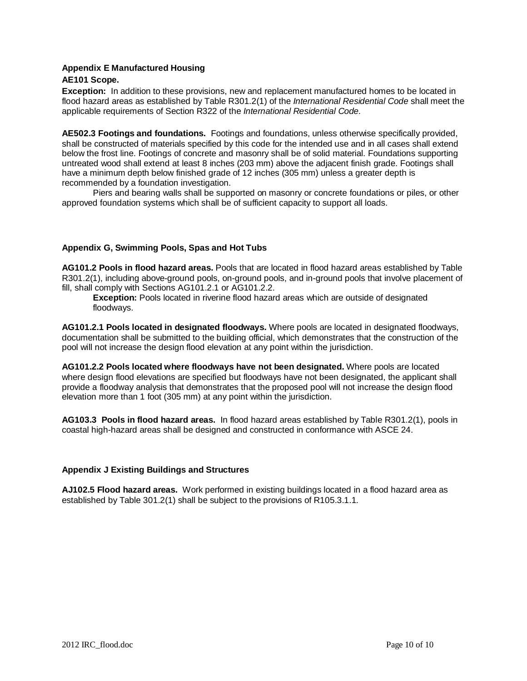## **Appendix E Manufactured Housing**

## **AE101 Scope.**

**Exception:** In addition to these provisions, new and replacement manufactured homes to be located in flood hazard areas as established by Table R301.2(1) of the *International Residential Code* shall meet the applicable requirements of Section R322 of the *International Residential Code.*

**AE502.3 Footings and foundations.** Footings and foundations, unless otherwise specifically provided, shall be constructed of materials specified by this code for the intended use and in all cases shall extend below the frost line. Footings of concrete and masonry shall be of solid material. Foundations supporting untreated wood shall extend at least 8 inches (203 mm) above the adjacent finish grade. Footings shall have a minimum depth below finished grade of 12 inches (305 mm) unless a greater depth is recommended by a foundation investigation.

Piers and bearing walls shall be supported on masonry or concrete foundations or piles, or other approved foundation systems which shall be of sufficient capacity to support all loads.

## **Appendix G, Swimming Pools, Spas and Hot Tubs**

**AG101.2 Pools in flood hazard areas.** Pools that are located in flood hazard areas established by Table R301.2(1), including above-ground pools, on-ground pools, and in-ground pools that involve placement of fill, shall comply with Sections AG101.2.1 or AG101.2.2.

**Exception:** Pools located in riverine flood hazard areas which are outside of designated floodways.

**AG101.2.1 Pools located in designated floodways.** Where pools are located in designated floodways, documentation shall be submitted to the building official, which demonstrates that the construction of the pool will not increase the design flood elevation at any point within the jurisdiction.

**AG101.2.2 Pools located where floodways have not been designated.** Where pools are located where design flood elevations are specified but floodways have not been designated, the applicant shall provide a floodway analysis that demonstrates that the proposed pool will not increase the design flood elevation more than 1 foot (305 mm) at any point within the jurisdiction.

**AG103.3 Pools in flood hazard areas.** In flood hazard areas established by Table R301.2(1), pools in coastal high-hazard areas shall be designed and constructed in conformance with ASCE 24.

#### **Appendix J Existing Buildings and Structures**

**AJ102.5 Flood hazard areas.** Work performed in existing buildings located in a flood hazard area as established by Table 301.2(1) shall be subject to the provisions of R105.3.1.1.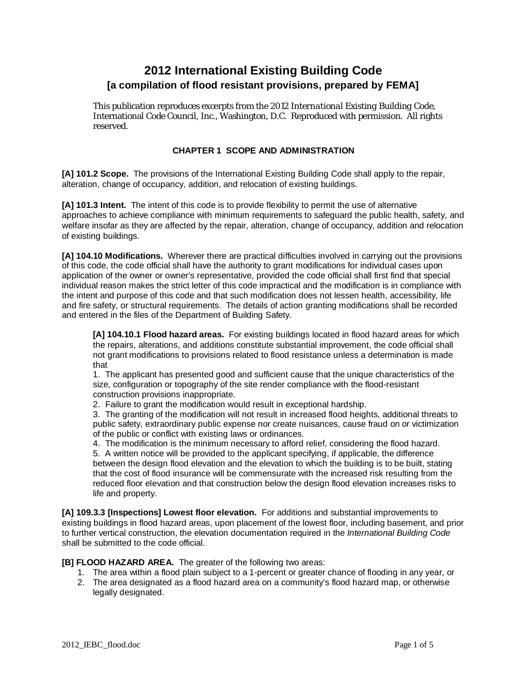## **2012 International Existing Building Code [a compilation of flood resistant provisions, prepared by FEMA]**

This publication reproduces excerpts from the *2012 International Existing Building Code*, International Code Council, Inc., Washington, D.C. Reproduced with permission. All rights reserved.

## **CHAPTER 1 SCOPE AND ADMINISTRATION**

**[A] 101.2 Scope.** The provisions of the International Existing Building Code shall apply to the repair, alteration, change of occupancy, addition, and relocation of existing buildings.

**[A] 101.3 Intent.** The intent of this code is to provide flexibility to permit the use of alternative approaches to achieve compliance with minimum requirements to safeguard the public health, safety, and welfare insofar as they are affected by the repair, alteration, change of occupancy, addition and relocation of existing buildings.

**[A] 104.10 Modifications.** Wherever there are practical difficulties involved in carrying out the provisions of this code, the code official shall have the authority to grant modifications for individual cases upon application of the owner or owner's representative, provided the code official shall first find that special individual reason makes the strict letter of this code impractical and the modification is in compliance with the intent and purpose of this code and that such modification does not lessen health, accessibility, life and fire safety, or structural requirements. The details of action granting modifications shall be recorded and entered in the files of the Department of Building Safety.

**[A] 104.10.1 Flood hazard areas.** For existing buildings located in flood hazard areas for which the repairs, alterations, and additions constitute substantial improvement, the code official shall not grant modifications to provisions related to flood resistance unless a determination is made that

1. The applicant has presented good and sufficient cause that the unique characteristics of the size, configuration or topography of the site render compliance with the flood-resistant construction provisions inappropriate.

2. Failure to grant the modification would result in exceptional hardship.

3. The granting of the modification will not result in increased flood heights, additional threats to public safety, extraordinary public expense nor create nuisances, cause fraud on or victimization of the public or conflict with existing laws or ordinances.

4. The modification is the minimum necessary to afford relief, considering the flood hazard. 5. A written notice will be provided to the applicant specifying, if applicable, the difference between the design flood elevation and the elevation to which the building is to be built, stating that the cost of flood insurance will be commensurate with the increased risk resulting from the reduced floor elevation and that construction below the design flood elevation increases risks to life and property.

**[A] 109.3.3 [Inspections] Lowest floor elevation.** For additions and substantial improvements to existing buildings in flood hazard areas, upon placement of the lowest floor, including basement, and prior to further vertical construction, the elevation documentation required in the *International Building Code*  shall be submitted to the code official.

**[B] FLOOD HAZARD AREA.** The greater of the following two areas:

- 1. The area within a flood plain subject to a 1-percent or greater chance of flooding in any year, or
- 2. The area designated as a flood hazard area on a community's flood hazard map, or otherwise legally designated.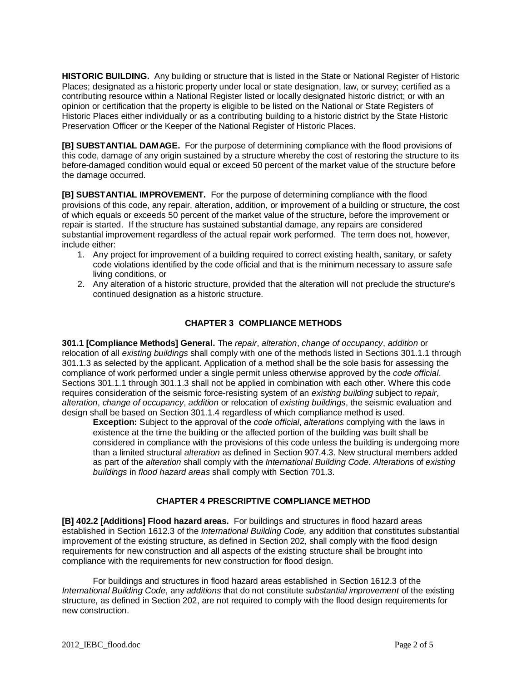**HISTORIC BUILDING.** Any building or structure that is listed in the State or National Register of Historic Places; designated as a historic property under local or state designation, law, or survey; certified as a contributing resource within a National Register listed or locally designated historic district; or with an opinion or certification that the property is eligible to be listed on the National or State Registers of Historic Places either individually or as a contributing building to a historic district by the State Historic Preservation Officer or the Keeper of the National Register of Historic Places.

**[B] SUBSTANTIAL DAMAGE.** For the purpose of determining compliance with the flood provisions of this code, damage of any origin sustained by a structure whereby the cost of restoring the structure to its before-damaged condition would equal or exceed 50 percent of the market value of the structure before the damage occurred.

**[B] SUBSTANTIAL IMPROVEMENT.** For the purpose of determining compliance with the flood provisions of this code, any repair, alteration, addition, or improvement of a building or structure, the cost of which equals or exceeds 50 percent of the market value of the structure, before the improvement or repair is started. If the structure has sustained substantial damage, any repairs are considered substantial improvement regardless of the actual repair work performed. The term does not, however, include either:

- 1. Any project for improvement of a building required to correct existing health, sanitary, or safety code violations identified by the code official and that is the minimum necessary to assure safe living conditions, or
- 2. Any alteration of a historic structure, provided that the alteration will not preclude the structure's continued designation as a historic structure.

## **CHAPTER 3 COMPLIANCE METHODS**

**301.1 [Compliance Methods] General.** The *repair*, *alteration*, *change of occupancy*, *addition* or relocation of all *existing buildings* shall comply with one of the methods listed in Sections 301.1.1 through 301.1.3 as selected by the applicant. Application of a method shall be the sole basis for assessing the compliance of work performed under a single permit unless otherwise approved by the *code official*. Sections 301.1.1 through 301.1.3 shall not be applied in combination with each other. Where this code requires consideration of the seismic force-resisting system of an *existing building* subject to *repair*, *alteration*, *change of occupancy*, *addition* or relocation of *existing buildings*, the seismic evaluation and design shall be based on Section 301.1.4 regardless of which compliance method is used.

**Exception:** Subject to the approval of the *code official*, *alterations* complying with the laws in existence at the time the building or the affected portion of the building was built shall be considered in compliance with the provisions of this code unless the building is undergoing more than a limited structural *alteration* as defined in Section 907.4.3. New structural members added as part of the *alteration* shall comply with the *International Building Code*. *Alteration*s of *existing buildings* in *flood hazard areas* shall comply with Section 701.3.

## **CHAPTER 4 PRESCRIPTIVE COMPLIANCE METHOD**

**[B] 402.2 [Additions] Flood hazard areas.** For buildings and structures in flood hazard areas established in Section 1612.3 of the *International Building Code,* any addition that constitutes substantial improvement of the existing structure, as defined in Section 202*,* shall comply with the flood design requirements for new construction and all aspects of the existing structure shall be brought into compliance with the requirements for new construction for flood design.

For buildings and structures in flood hazard areas established in Section 1612.3 of the *International Building Code*, any *additions* that do not constitute *substantial improvement* of the existing structure, as defined in Section 202, are not required to comply with the flood design requirements for new construction.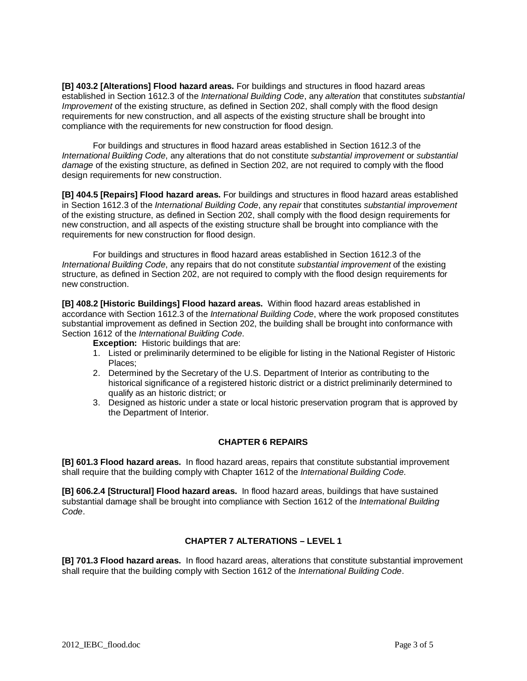**[B] 403.2 [Alterations] Flood hazard areas.** For buildings and structures in flood hazard areas established in Section 1612.3 of the *International Building Code*, any *alteration* that constitutes *substantial Improvement* of the existing structure, as defined in Section 202, shall comply with the flood design requirements for new construction, and all aspects of the existing structure shall be brought into compliance with the requirements for new construction for flood design.

For buildings and structures in flood hazard areas established in Section 1612.3 of the *International Building Code*, any alterations that do not constitute *substantial improvement* or *substantial damage* of the existing structure, as defined in Section 202, are not required to comply with the flood design requirements for new construction.

**[B] 404.5 [Repairs] Flood hazard areas.** For buildings and structures in flood hazard areas established in Section 1612.3 of the *International Building Code*, any *repair* that constitutes *substantial improvement*  of the existing structure, as defined in Section 202, shall comply with the flood design requirements for new construction, and all aspects of the existing structure shall be brought into compliance with the requirements for new construction for flood design.

For buildings and structures in flood hazard areas established in Section 1612.3 of the *International Building Code*, any repairs that do not constitute *substantial improvement* of the existing structure, as defined in Section 202, are not required to comply with the flood design requirements for new construction.

**[B] 408.2 [Historic Buildings] Flood hazard areas.** Within flood hazard areas established in accordance with Section 1612.3 of the *International Building Code*, where the work proposed constitutes substantial improvement as defined in Section 202, the building shall be brought into conformance with Section 1612 of the *International Building Code*.

**Exception:** Historic buildings that are:

- 1. Listed or preliminarily determined to be eligible for listing in the National Register of Historic Places;
- 2. Determined by the Secretary of the U.S. Department of Interior as contributing to the historical significance of a registered historic district or a district preliminarily determined to qualify as an historic district; or
- 3. Designed as historic under a state or local historic preservation program that is approved by the Department of Interior.

## **CHAPTER 6 REPAIRS**

**[B] 601.3 Flood hazard areas.** In flood hazard areas, repairs that constitute substantial improvement shall require that the building comply with Chapter 1612 of the *International Building Code*.

**[B] 606.2.4 [Structural] Flood hazard areas.** In flood hazard areas, buildings that have sustained substantial damage shall be brought into compliance with Section 1612 of the *International Building Code*.

## **CHAPTER 7 ALTERATIONS – LEVEL 1**

**[B] 701.3 Flood hazard areas.** In flood hazard areas, alterations that constitute substantial improvement shall require that the building comply with Section 1612 of the *International Building Code*.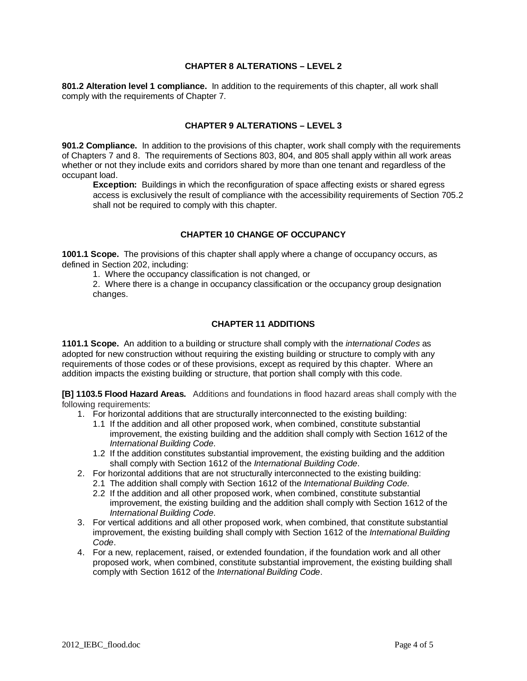#### **CHAPTER 8 ALTERATIONS – LEVEL 2**

**801.2 Alteration level 1 compliance.** In addition to the requirements of this chapter, all work shall comply with the requirements of Chapter 7.

## **CHAPTER 9 ALTERATIONS – LEVEL 3**

**901.2 Compliance.** In addition to the provisions of this chapter, work shall comply with the requirements of Chapters 7 and 8. The requirements of Sections 803, 804, and 805 shall apply within all work areas whether or not they include exits and corridors shared by more than one tenant and regardless of the occupant load.

**Exception:** Buildings in which the reconfiguration of space affecting exists or shared egress access is exclusively the result of compliance with the accessibility requirements of Section 705.2 shall not be required to comply with this chapter.

## **CHAPTER 10 CHANGE OF OCCUPANCY**

**1001.1 Scope.** The provisions of this chapter shall apply where a change of occupancy occurs, as defined in Section 202, including:

1. Where the occupancy classification is not changed, or

2. Where there is a change in occupancy classification or the occupancy group designation changes.

## **CHAPTER 11 ADDITIONS**

**1101.1 Scope.** An addition to a building or structure shall comply with the *international Codes* as adopted for new construction without requiring the existing building or structure to comply with any requirements of those codes or of these provisions, except as required by this chapter. Where an addition impacts the existing building or structure, that portion shall comply with this code.

**[B] 1103.5 Flood Hazard Areas.** Additions and foundations in flood hazard areas shall comply with the following requirements:

- 1. For horizontal additions that are structurally interconnected to the existing building:
	- 1.1 If the addition and all other proposed work, when combined, constitute substantial improvement, the existing building and the addition shall comply with Section 1612 of the *International Building Code*.
	- 1.2 If the addition constitutes substantial improvement, the existing building and the addition shall comply with Section 1612 of the *International Building Code*.
- 2. For horizontal additions that are not structurally interconnected to the existing building:
	- 2.1 The addition shall comply with Section 1612 of the *International Building Code*.
	- 2.2 If the addition and all other proposed work, when combined, constitute substantial improvement, the existing building and the addition shall comply with Section 1612 of the *International Building Code*.
- 3. For vertical additions and all other proposed work, when combined, that constitute substantial improvement, the existing building shall comply with Section 1612 of the *International Building Code*.
- 4. For a new, replacement, raised, or extended foundation, if the foundation work and all other proposed work, when combined, constitute substantial improvement, the existing building shall comply with Section 1612 of the *International Building Code*.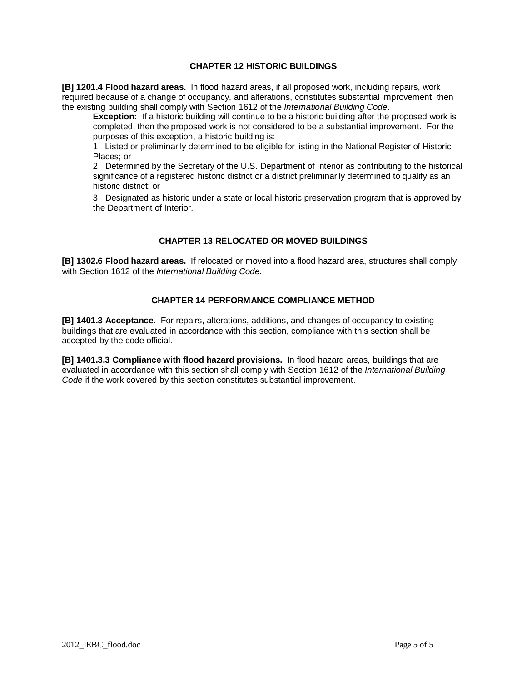## **CHAPTER 12 HISTORIC BUILDINGS**

**[B] 1201.4 Flood hazard areas.** In flood hazard areas, if all proposed work, including repairs, work required because of a change of occupancy, and alterations, constitutes substantial improvement, then the existing building shall comply with Section 1612 of the *International Building Code*.

**Exception:** If a historic building will continue to be a historic building after the proposed work is completed, then the proposed work is not considered to be a substantial improvement. For the purposes of this exception, a historic building is:

1. Listed or preliminarily determined to be eligible for listing in the National Register of Historic Places; or

2. Determined by the Secretary of the U.S. Department of Interior as contributing to the historical significance of a registered historic district or a district preliminarily determined to qualify as an historic district; or

3. Designated as historic under a state or local historic preservation program that is approved by the Department of Interior.

## **CHAPTER 13 RELOCATED OR MOVED BUILDINGS**

**[B] 1302.6 Flood hazard areas.** If relocated or moved into a flood hazard area, structures shall comply with Section 1612 of the *International Building Code*.

## **CHAPTER 14 PERFORMANCE COMPLIANCE METHOD**

**[B] 1401.3 Acceptance.** For repairs, alterations, additions, and changes of occupancy to existing buildings that are evaluated in accordance with this section, compliance with this section shall be accepted by the code official.

**[B] 1401.3.3 Compliance with flood hazard provisions.** In flood hazard areas, buildings that are evaluated in accordance with this section shall comply with Section 1612 of the *International Building Code* if the work covered by this section constitutes substantial improvement.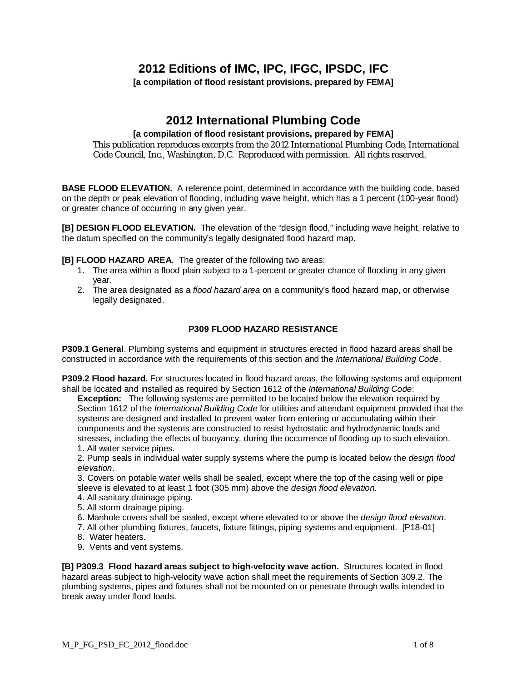# **2012 Editions of IMC, IPC, IFGC, IPSDC, IFC**

**[a compilation of flood resistant provisions, prepared by FEMA]**

## **2012 International Plumbing Code**

## **[a compilation of flood resistant provisions, prepared by FEMA]**

This publication reproduces excerpts from the *2012 International Plumbing Code*, International Code Council, Inc., Washington, D.C. Reproduced with permission. All rights reserved.

**BASE FLOOD ELEVATION.** A reference point, determined in accordance with the building code, based on the depth or peak elevation of flooding, including wave height, which has a 1 percent (100-year flood) or greater chance of occurring in any given year.

**[B] DESIGN FLOOD ELEVATION.** The elevation of the "design flood," including wave height, relative to the datum specified on the community's legally designated flood hazard map.

**[B] FLOOD HAZARD AREA**. The greater of the following two areas:

- 1. The area within a flood plain subject to a 1-percent or greater chance of flooding in any given year.
- 2. The area designated as a *flood hazard area* on a community's flood hazard map, or otherwise legally designated.

## **P309 FLOOD HAZARD RESISTANCE**

**P309.1 General**. Plumbing systems and equipment in structures erected in flood hazard areas shall be constructed in accordance with the requirements of this section and the *International Building Code*.

**P309.2 Flood hazard.** For structures located in flood hazard areas, the following systems and equipment shall be located and installed as required by Section 1612 of the *International Building Code*:

**Exception:** The following systems are permitted to be located below the elevation required by Section 1612 of the *International Building Code* for utilities and attendant equipment provided that the systems are designed and installed to prevent water from entering or accumulating within their components and the systems are constructed to resist hydrostatic and hydrodynamic loads and stresses, including the effects of buoyancy, during the occurrence of flooding up to such elevation. 1. All water service pipes.

2. Pump seals in individual water supply systems where the pump is located below the *design flood elevation*.

3. Covers on potable water wells shall be sealed, except where the top of the casing well or pipe sleeve is elevated to at least 1 foot (305 mm) above the *design flood elevation*.

- 4. All sanitary drainage piping.
- 5. All storm drainage piping.
- 6. Manhole covers shall be sealed, except where elevated to or above the *design flood elevation*.
- 7. All other plumbing fixtures, faucets, fixture fittings, piping systems and equipment. [P18-01]
- 8. Water heaters.
- 9. Vents and vent systems.

**[B] P309.3 Flood hazard areas subject to high-velocity wave action.** Structures located in flood hazard areas subject to high-velocity wave action shall meet the requirements of Section 309.2. The plumbing systems, pipes and fixtures shall not be mounted on or penetrate through walls intended to break away under flood loads.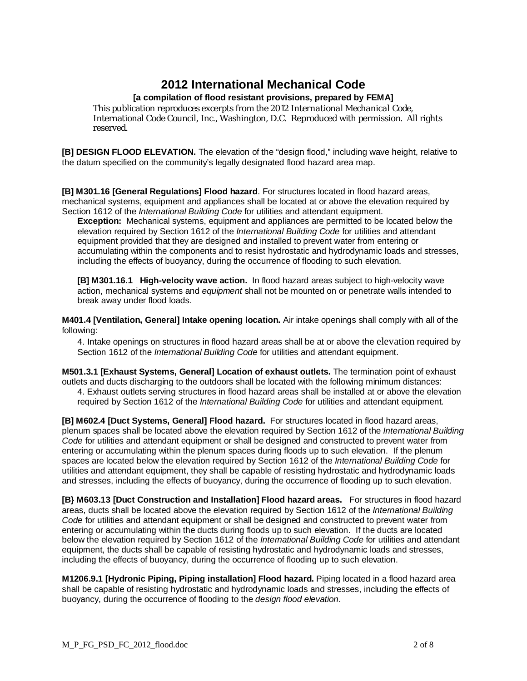# **2012 International Mechanical Code**

**[a compilation of flood resistant provisions, prepared by FEMA]**

This publication reproduces excerpts from the *2012 International Mechanical Code*, International Code Council, Inc., Washington, D.C. Reproduced with permission. All rights reserved.

**[B] DESIGN FLOOD ELEVATION.** The elevation of the "design flood," including wave height, relative to the datum specified on the community's legally designated flood hazard area map.

**[B] M301.16 [General Regulations] Flood hazard**. For structures located in flood hazard areas, mechanical systems, equipment and appliances shall be located at or above the elevation required by Section 1612 of the *International Building Code* for utilities and attendant equipment.

**Exception:** Mechanical systems, equipment and appliances are permitted to be located below the elevation required by Section 1612 of the *International Building Code* for utilities and attendant equipment provided that they are designed and installed to prevent water from entering or accumulating within the components and to resist hydrostatic and hydrodynamic loads and stresses, including the effects of buoyancy, during the occurrence of flooding to such elevation*.*

**[B] M301.16.1 High-velocity wave action.** In flood hazard areas subject to high-velocity wave action, mechanical systems and *equipment* shall not be mounted on or penetrate walls intended to break away under flood loads.

**M401.4 [Ventilation, General] Intake opening location.** Air intake openings shall comply with all of the following:

4. Intake openings on structures in flood hazard areas shall be at or above the elevation required by Section 1612 of the *International Building Code* for utilities and attendant equipment.

**M501.3.1 [Exhaust Systems, General] Location of exhaust outlets.** The termination point of exhaust outlets and ducts discharging to the outdoors shall be located with the following minimum distances: 4. Exhaust outlets serving structures in flood hazard areas shall be installed at or above the elevation required by Section 1612 of the *International Building Code* for utilities and attendant equipment.

**[B] M602.4 [Duct Systems, General] Flood hazard.** For structures located in flood hazard areas, plenum spaces shall be located above the elevation required by Section 1612 of the *International Building Code* for utilities and attendant equipment or shall be designed and constructed to prevent water from entering or accumulating within the plenum spaces during floods up to such elevation. If the plenum spaces are located below the elevation required by Section 1612 of the *International Building Code* for utilities and attendant equipment, they shall be capable of resisting hydrostatic and hydrodynamic loads and stresses, including the effects of buoyancy, during the occurrence of flooding up to such elevation.

**[B} M603.13 [Duct Construction and Installation] Flood hazard areas.** For structures in flood hazard areas, ducts shall be located above the elevation required by Section 1612 of the *International Building Code* for utilities and attendant equipment or shall be designed and constructed to prevent water from entering or accumulating within the ducts during floods up to such elevation. If the ducts are located below the elevation required by Section 1612 of the *International Building Code* for utilities and attendant equipment, the ducts shall be capable of resisting hydrostatic and hydrodynamic loads and stresses, including the effects of buoyancy, during the occurrence of flooding up to such elevation.

**M1206.9.1 [Hydronic Piping, Piping installation] Flood hazard.** Piping located in a flood hazard area shall be capable of resisting hydrostatic and hydrodynamic loads and stresses, including the effects of buoyancy, during the occurrence of flooding to the *design flood elevation*.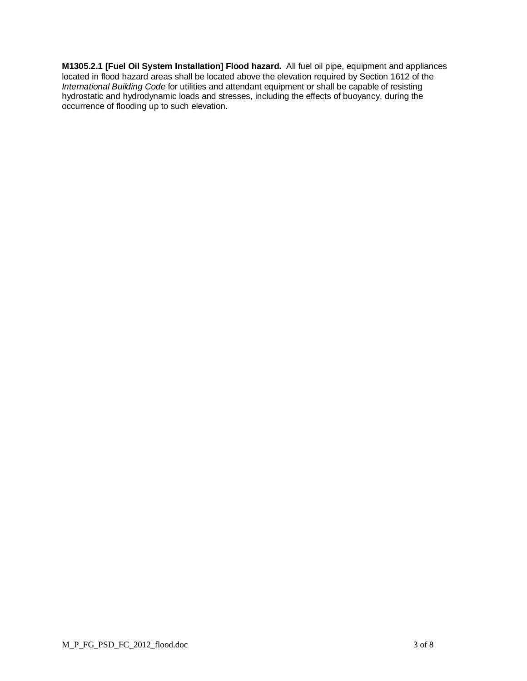**M1305.2.1 [Fuel Oil System Installation] Flood hazard.** All fuel oil pipe, equipment and appliances located in flood hazard areas shall be located above the elevation required by Section 1612 of the *International Building Code* for utilities and attendant equipment or shall be capable of resisting hydrostatic and hydrodynamic loads and stresses, including the effects of buoyancy, during the occurrence of flooding up to such elevation.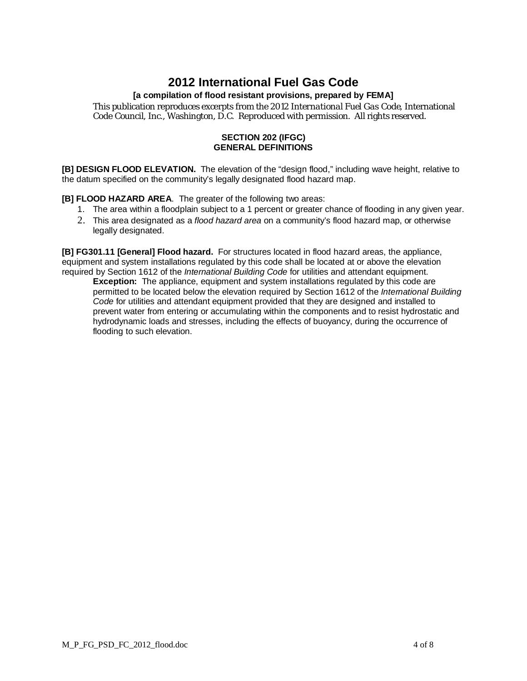# **2012 International Fuel Gas Code**

## **[a compilation of flood resistant provisions, prepared by FEMA]**

This publication reproduces excerpts from the *2012 International Fuel Gas Code*, International Code Council, Inc., Washington, D.C. Reproduced with permission. All rights reserved.

## **SECTION 202 (IFGC) GENERAL DEFINITIONS**

**[B] DESIGN FLOOD ELEVATION.** The elevation of the "design flood," including wave height, relative to the datum specified on the community's legally designated flood hazard map.

**[B] FLOOD HAZARD AREA**. The greater of the following two areas:

- 1. The area within a floodplain subject to a 1 percent or greater chance of flooding in any given year.
- 2. This area designated as a *flood hazard area* on a community's flood hazard map, or otherwise legally designated.

**[B] FG301.11 [General] Flood hazard.** For structures located in flood hazard areas, the appliance, equipment and system installations regulated by this code shall be located at or above the elevation required by Section 1612 of the *International Building Code* for utilities and attendant equipment.

**Exception:** The appliance, equipment and system installations regulated by this code are permitted to be located below the elevation required by Section 1612 of the *International Building Code* for utilities and attendant equipment provided that they are designed and installed to prevent water from entering or accumulating within the components and to resist hydrostatic and hydrodynamic loads and stresses, including the effects of buoyancy, during the occurrence of flooding to such elevation.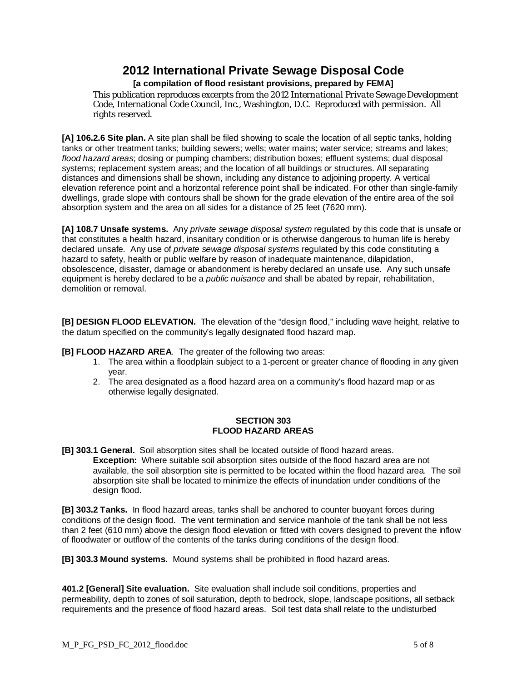# **2012 International Private Sewage Disposal Code**

**[a compilation of flood resistant provisions, prepared by FEMA]**

This publication reproduces excerpts from the *2012 International Private Sewage Development Code*, International Code Council, Inc., Washington, D.C. Reproduced with permission. All rights reserved.

**[A] 106.2.6 Site plan.** A site plan shall be filed showing to scale the location of all septic tanks, holding tanks or other treatment tanks; building sewers; wells; water mains; water service; streams and lakes; *flood hazard areas*; dosing or pumping chambers; distribution boxes; effluent systems; dual disposal systems; replacement system areas; and the location of all buildings or structures. All separating distances and dimensions shall be shown, including any distance to adjoining property. A vertical elevation reference point and a horizontal reference point shall be indicated. For other than single-family dwellings, grade slope with contours shall be shown for the grade elevation of the entire area of the soil absorption system and the area on all sides for a distance of 25 feet (7620 mm).

**[A] 108.7 Unsafe systems.** Any *private sewage disposal system* regulated by this code that is unsafe or that constitutes a health hazard, insanitary condition or is otherwise dangerous to human life is hereby declared unsafe. Any use of *private sewage disposal systems* regulated by this code constituting a hazard to safety, health or public welfare by reason of inadequate maintenance, dilapidation, obsolescence, disaster, damage or abandonment is hereby declared an unsafe use. Any such unsafe equipment is hereby declared to be a *public nuisance* and shall be abated by repair, rehabilitation, demolition or removal.

**[B] DESIGN FLOOD ELEVATION.** The elevation of the "design flood," including wave height, relative to the datum specified on the community's legally designated flood hazard map.

**[B] FLOOD HAZARD AREA.** The greater of the following two areas:

- 1. The area within a floodplain subject to a 1-percent or greater chance of flooding in any given year.
- 2. The area designated as a flood hazard area on a community's flood hazard map or as otherwise legally designated.

#### **SECTION 303 FLOOD HAZARD AREAS**

**[B] 303.1 General.** Soil absorption sites shall be located outside of flood hazard areas. **Exception:** Where suitable soil absorption sites outside of the flood hazard area are not available, the soil absorption site is permitted to be located within the flood hazard area. The soil absorption site shall be located to minimize the effects of inundation under conditions of the design flood.

**[B] 303.2 Tanks.** In flood hazard areas, tanks shall be anchored to counter buoyant forces during conditions of the design flood. The vent termination and service manhole of the tank shall be not less than 2 feet (610 mm) above the design flood elevation or fitted with covers designed to prevent the inflow of floodwater or outflow of the contents of the tanks during conditions of the design flood.

**[B] 303.3 Mound systems.** Mound systems shall be prohibited in flood hazard areas.

**401.2 [General] Site evaluation.** Site evaluation shall include soil conditions, properties and permeability, depth to zones of soil saturation, depth to bedrock, slope, landscape positions, all setback requirements and the presence of flood hazard areas. Soil test data shall relate to the undisturbed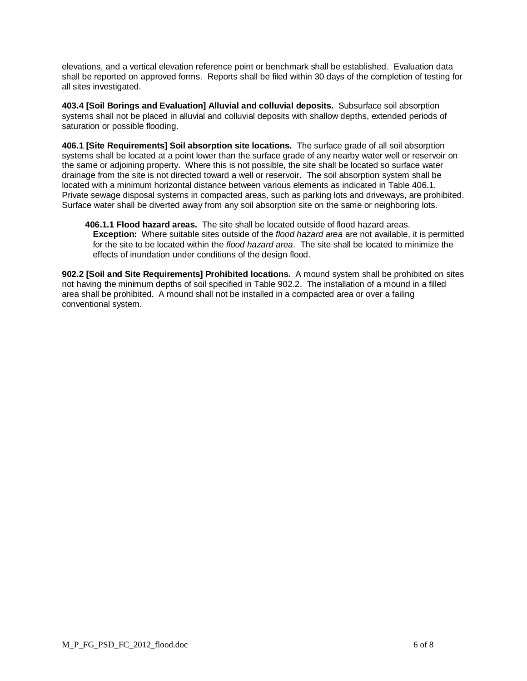elevations, and a vertical elevation reference point or benchmark shall be established. Evaluation data shall be reported on approved forms. Reports shall be filed within 30 days of the completion of testing for all sites investigated.

**403.4 [Soil Borings and Evaluation] Alluvial and colluvial deposits.** Subsurface soil absorption systems shall not be placed in alluvial and colluvial deposits with shallow depths, extended periods of saturation or possible flooding.

**406.1 [Site Requirements] Soil absorption site locations.** The surface grade of all soil absorption systems shall be located at a point lower than the surface grade of any nearby water well or reservoir on the same or adjoining property. Where this is not possible, the site shall be located so surface water drainage from the site is not directed toward a well or reservoir. The soil absorption system shall be located with a minimum horizontal distance between various elements as indicated in Table 406.1. Private sewage disposal systems in compacted areas, such as parking lots and driveways, are prohibited. Surface water shall be diverted away from any soil absorption site on the same or neighboring lots.

**406.1.1 Flood hazard areas.** The site shall be located outside of flood hazard areas. **Exception:** Where suitable sites outside of the *flood hazard area* are not available, it is permitted for the site to be located within the *flood hazard area*. The site shall be located to minimize the effects of inundation under conditions of the design flood.

**902.2 [Soil and Site Requirements] Prohibited locations.** A mound system shall be prohibited on sites not having the minimum depths of soil specified in Table 902.2. The installation of a mound in a filled area shall be prohibited. A mound shall not be installed in a compacted area or over a failing conventional system.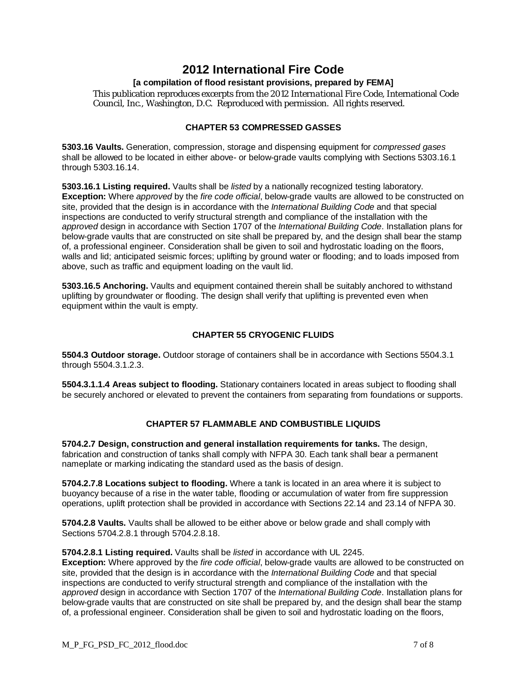## **2012 International Fire Code**

## **[a compilation of flood resistant provisions, prepared by FEMA]**

This publication reproduces excerpts from the *2012 International Fire Code*, International Code Council, Inc., Washington, D.C. Reproduced with permission. All rights reserved.

## **CHAPTER 53 COMPRESSED GASSES**

**5303.16 Vaults.** Generation, compression, storage and dispensing equipment for *compressed gases* shall be allowed to be located in either above- or below-grade vaults complying with Sections 5303.16.1 through 5303.16.14.

**5303.16.1 Listing required.** Vaults shall be *listed* by a nationally recognized testing laboratory. **Exception:** Where *approved* by the *fire code official*, below-grade vaults are allowed to be constructed on site, provided that the design is in accordance with the *International Building Code* and that special inspections are conducted to verify structural strength and compliance of the installation with the *approved* design in accordance with Section 1707 of the *International Building Code*. Installation plans for below-grade vaults that are constructed on site shall be prepared by, and the design shall bear the stamp of, a professional engineer. Consideration shall be given to soil and hydrostatic loading on the floors, walls and lid; anticipated seismic forces; uplifting by ground water or flooding; and to loads imposed from above, such as traffic and equipment loading on the vault lid.

**5303.16.5 Anchoring.** Vaults and equipment contained therein shall be suitably anchored to withstand uplifting by groundwater or flooding. The design shall verify that uplifting is prevented even when equipment within the vault is empty.

## **CHAPTER 55 CRYOGENIC FLUIDS**

**5504.3 Outdoor storage.** Outdoor storage of containers shall be in accordance with Sections 5504.3.1 through 5504.3.1.2.3.

**5504.3.1.1.4 Areas subject to flooding.** Stationary containers located in areas subject to flooding shall be securely anchored or elevated to prevent the containers from separating from foundations or supports.

## **CHAPTER 57 FLAMMABLE AND COMBUSTIBLE LIQUIDS**

**5704.2.7 Design, construction and general installation requirements for tanks.** The design, fabrication and construction of tanks shall comply with NFPA 30. Each tank shall bear a permanent nameplate or marking indicating the standard used as the basis of design.

**5704.2.7.8 Locations subject to flooding.** Where a tank is located in an area where it is subject to buoyancy because of a rise in the water table, flooding or accumulation of water from fire suppression operations, uplift protection shall be provided in accordance with Sections 22.14 and 23.14 of NFPA 30.

**5704.2.8 Vaults.** Vaults shall be allowed to be either above or below grade and shall comply with Sections 5704.2.8.1 through 5704.2.8.18.

#### **5704.2.8.1 Listing required.** Vaults shall be *listed* in accordance with UL 2245.

**Exception:** Where approved by the *fire code official*, below-grade vaults are allowed to be constructed on site, provided that the design is in accordance with the *International Building Code* and that special inspections are conducted to verify structural strength and compliance of the installation with the *approved* design in accordance with Section 1707 of the *International Building Code*. Installation plans for below-grade vaults that are constructed on site shall be prepared by, and the design shall bear the stamp of, a professional engineer. Consideration shall be given to soil and hydrostatic loading on the floors,